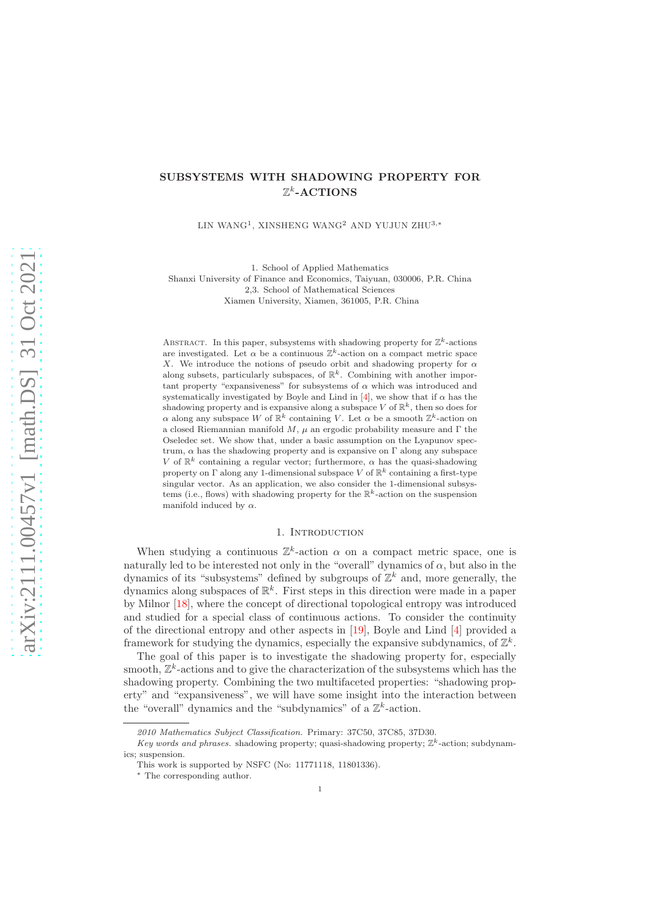# SUBSYSTEMS WITH SHADOWING PROPERTY FOR  $\mathbb{Z}^k$ -ACTIONS

LIN WANG<sup>1</sup>, XINSHENG WANG<sup>2</sup> AND YUJUN ZHU<sup>3,\*</sup>

1. School of Applied Mathematics Shanxi University of Finance and Economics, Taiyuan, 030006, P.R. China 2,3. School of Mathematical Sciences Xiamen University, Xiamen, 361005, P.R. China

ABSTRACT. In this paper, subsystems with shadowing property for  $\mathbb{Z}^k$ -actions are investigated. Let  $\alpha$  be a continuous  $\mathbb{Z}^k$ -action on a compact metric space X. We introduce the notions of pseudo orbit and shadowing property for  $\alpha$ along subsets, particularly subspaces, of  $\mathbb{R}^k$ . Combining with another important property "expansiveness" for subsystems of  $\alpha$  which was introduced and systematically investigated by Boyle and Lind in [\[4\]](#page-23-0), we show that if  $\alpha$  has the shadowing property and is expansive along a subspace V of  $\mathbb{R}^k$ , then so does for  $\alpha$  along any subspace W of  $\mathbb{R}^k$  containing V. Let  $\alpha$  be a smooth  $\mathbb{Z}^k$ -action on a closed Riemannian manifold M,  $\mu$  an ergodic probability measure and  $\Gamma$  the Oseledec set. We show that, under a basic assumption on the Lyapunov spectrum,  $\alpha$  has the shadowing property and is expansive on  $\Gamma$  along any subspace V of  $\mathbb{R}^k$  containing a regular vector; furthermore,  $\alpha$  has the quasi-shadowing property on  $\Gamma$  along any 1-dimensional subspace  $V$  of  $\mathbb{R}^k$  containing a first-type singular vector. As an application, we also consider the 1-dimensional subsystems (i.e., flows) with shadowing property for the  $\mathbb{R}^k$ -action on the suspension manifold induced by  $\alpha$ .

### 1. INTRODUCTION

When studying a continuous  $\mathbb{Z}^k$ -action  $\alpha$  on a compact metric space, one is naturally led to be interested not only in the "overall" dynamics of  $\alpha$ , but also in the dynamics of its "subsystems" defined by subgroups of  $\mathbb{Z}^k$  and, more generally, the dynamics along subspaces of  $\mathbb{R}^k$ . First steps in this direction were made in a paper by Milnor [\[18\]](#page-23-1), where the concept of directional topological entropy was introduced and studied for a special class of continuous actions. To consider the continuity of the directional entropy and other aspects in [\[19\]](#page-23-2), Boyle and Lind [\[4\]](#page-23-0) provided a framework for studying the dynamics, especially the expansive subdynamics, of  $\mathbb{Z}^k$ .

The goal of this paper is to investigate the shadowing property for, especially smooth,  $\mathbb{Z}^k$ -actions and to give the characterization of the subsystems which has the shadowing property. Combining the two multifaceted properties: "shadowing property" and "expansiveness", we will have some insight into the interaction between the "overall" dynamics and the "subdynamics" of a  $\mathbb{Z}^k$ -action.

<sup>2010</sup> Mathematics Subject Classification. Primary: 37C50, 37C85, 37D30.

Key words and phrases. shadowing property; quasi-shadowing property;  $\mathbb{Z}^k$ -action; subdynamics; suspension.

This work is supported by NSFC (No: 11771118, 11801336).

<sup>∗</sup> The corresponding author.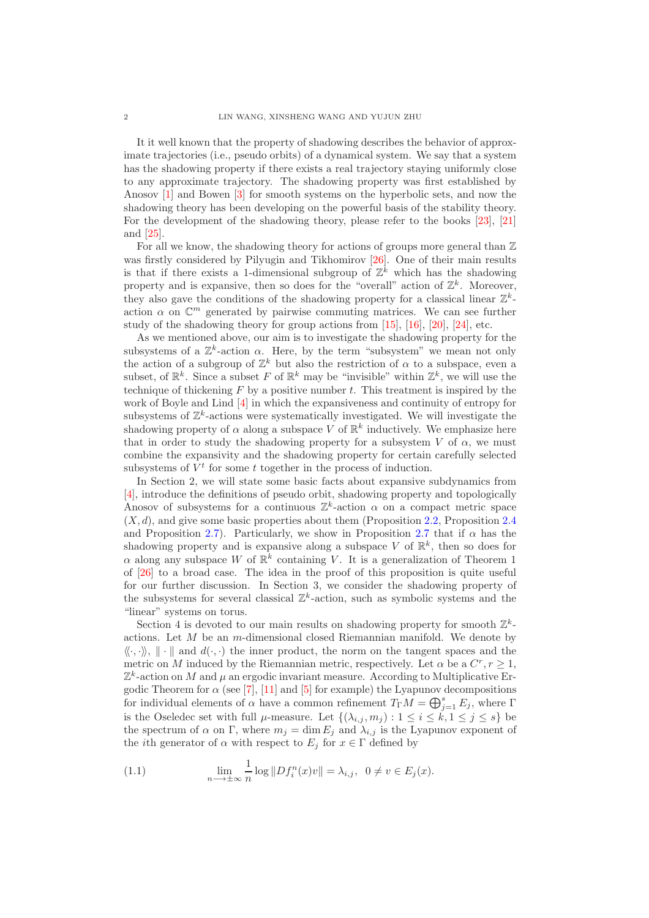It it well known that the property of shadowing describes the behavior of approximate trajectories (i.e., pseudo orbits) of a dynamical system. We say that a system has the shadowing property if there exists a real trajectory staying uniformly close to any approximate trajectory. The shadowing property was first established by Anosov [\[1\]](#page-23-3) and Bowen [\[3\]](#page-23-4) for smooth systems on the hyperbolic sets, and now the shadowing theory has been developing on the powerful basis of the stability theory. For the development of the shadowing theory, please refer to the books [\[23\]](#page-24-0), [\[21\]](#page-23-5) and [\[25\]](#page-24-1).

For all we know, the shadowing theory for actions of groups more general than  $\mathbb Z$ was firstly considered by Pilyugin and Tikhomirov [\[26\]](#page-24-2). One of their main results is that if there exists a 1-dimensional subgroup of  $\mathbb{Z}^k$  which has the shadowing property and is expansive, then so does for the "overall" action of  $\mathbb{Z}^k$ . Moreover, they also gave the conditions of the shadowing property for a classical linear  $\mathbb{Z}^k$ action  $\alpha$  on  $\mathbb{C}^m$  generated by pairwise commuting matrices. We can see further study of the shadowing theory for group actions from [\[15\]](#page-23-6), [\[16\]](#page-23-7), [\[20\]](#page-23-8), [\[24\]](#page-24-3), etc.

As we mentioned above, our aim is to investigate the shadowing property for the subsystems of a  $\mathbb{Z}^k$ -action  $\alpha$ . Here, by the term "subsystem" we mean not only the action of a subgroup of  $\mathbb{Z}^k$  but also the restriction of  $\alpha$  to a subspace, even a subset, of  $\mathbb{R}^k$ . Since a subset F of  $\mathbb{R}^k$  may be "invisible" within  $\mathbb{Z}^k$ , we will use the technique of thickening  $F$  by a positive number  $t$ . This treatment is inspired by the work of Boyle and Lind [\[4\]](#page-23-0) in which the expansiveness and continuity of entropy for subsystems of  $\mathbb{Z}^k$ -actions were systematically investigated. We will investigate the shadowing property of  $\alpha$  along a subspace V of  $\mathbb{R}^k$  inductively. We emphasize here that in order to study the shadowing property for a subsystem  $V$  of  $\alpha$ , we must combine the expansivity and the shadowing property for certain carefully selected subsystems of  $V^t$  for some t together in the process of induction.

In Section 2, we will state some basic facts about expansive subdynamics from [\[4\]](#page-23-0), introduce the definitions of pseudo orbit, shadowing property and topologically Anosov of subsystems for a continuous  $\mathbb{Z}^k$ -action  $\alpha$  on a compact metric space  $(X, d)$ , and give some basic properties about them (Proposition [2.2,](#page-4-0) Proposition [2.4](#page-5-0) and Proposition [2.7\)](#page-6-0). Particularly, we show in Proposition [2.7](#page-6-0) that if  $\alpha$  has the shadowing property and is expansive along a subspace V of  $\mathbb{R}^k$ , then so does for  $\alpha$  along any subspace W of  $\mathbb{R}^k$  containing V. It is a generalization of Theorem 1 of [\[26\]](#page-24-2) to a broad case. The idea in the proof of this proposition is quite useful for our further discussion. In Section 3, we consider the shadowing property of the subsystems for several classical  $\mathbb{Z}^k$ -action, such as symbolic systems and the "linear" systems on torus.

Section 4 is devoted to our main results on shadowing property for smooth  $\mathbb{Z}^k$ actions. Let  $M$  be an m-dimensional closed Riemannian manifold. We denote by  $\langle\!\langle \cdot, \cdot \rangle\!\rangle$ ,  $\|\cdot\|$  and  $d(\cdot, \cdot)$  the inner product, the norm on the tangent spaces and the metric on M induced by the Riemannian metric, respectively. Let  $\alpha$  be a  $C^r, r \geq 1$ ,  $\mathbb{Z}^k$ -action on M and  $\mu$  an ergodic invariant measure. According to Multiplicative Ergodic Theorem for  $\alpha$  (see [\[7\]](#page-23-9), [\[11\]](#page-23-10) and [\[5\]](#page-23-11) for example) the Lyapunov decompositions for individual elements of  $\alpha$  have a common refinement  $T_{\Gamma}M=\bigoplus_{j=1}^{s}E_j$ , where  $\Gamma$ is the Oseledec set with full  $\mu$ -measure. Let  $\{(\lambda_{i,j}, m_j) : 1 \leq i \leq \check{k}, 1 \leq j \leq s\}$  be the spectrum of  $\alpha$  on  $\Gamma$ , where  $m_j = \dim E_j$  and  $\lambda_{i,j}$  is the Lyapunov exponent of the *i*th generator of  $\alpha$  with respect to  $E_j$  for  $x \in \Gamma$  defined by

<span id="page-1-0"></span>(1.1) 
$$
\lim_{n \to \pm \infty} \frac{1}{n} \log ||Df_i^n(x)v|| = \lambda_{i,j}, \ \ 0 \neq v \in E_j(x).
$$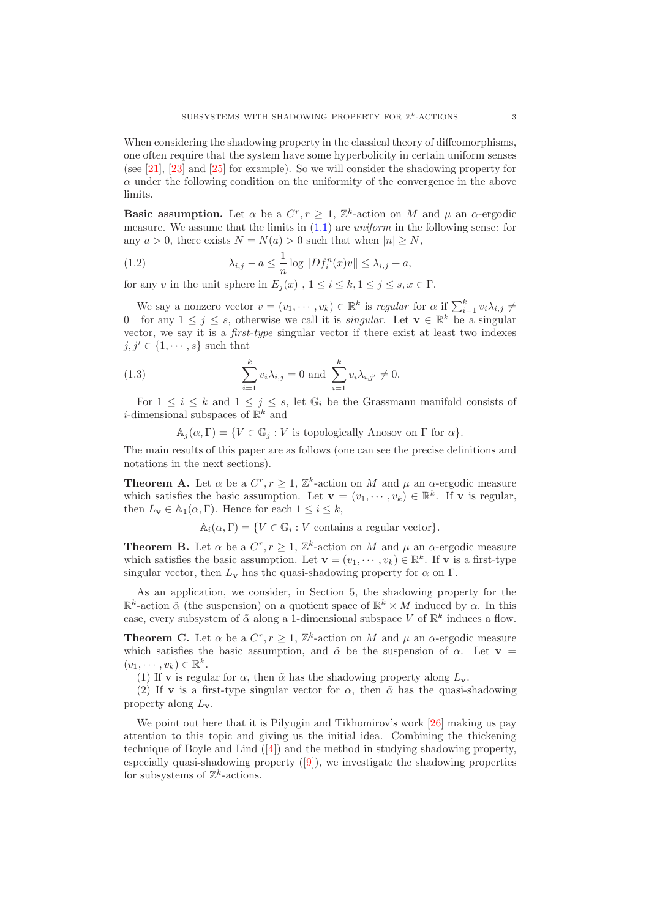When considering the shadowing property in the classical theory of diffeomorphisms, one often require that the system have some hyperbolicity in certain uniform senses (see [\[21\]](#page-23-5), [\[23\]](#page-24-0) and [\[25\]](#page-24-1) for example). So we will consider the shadowing property for  $\alpha$  under the following condition on the uniformity of the convergence in the above limits.

Basic assumption. Let  $\alpha$  be a  $C^r$ ,  $r \geq 1$ ,  $\mathbb{Z}^k$ -action on M and  $\mu$  an  $\alpha$ -ergodic measure. We assume that the limits in  $(1.1)$  are *uniform* in the following sense: for any  $a > 0$ , there exists  $N = N(a) > 0$  such that when  $|n| \ge N$ ,

<span id="page-2-0"></span>(1.2) 
$$
\lambda_{i,j} - a \leq \frac{1}{n} \log \|Df_i^n(x)v\| \leq \lambda_{i,j} + a,
$$

for any v in the unit sphere in  $E_i(x)$ ,  $1 \leq i \leq k, 1 \leq j \leq s, x \in \Gamma$ .

We say a nonzero vector  $v = (v_1, \dots, v_k) \in \mathbb{R}^k$  is regular for  $\alpha$  if  $\sum_{i=1}^k v_i \lambda_{i,j} \neq$ 0 for any  $1 \leq j \leq s$ , otherwise we call it is *singular*. Let  $\mathbf{v} \in \mathbb{R}^k$  be a singular vector, we say it is a first-type singular vector if there exist at least two indexes  $j, j' \in \{1, \cdots, s\}$  such that

(1.3) 
$$
\sum_{i=1}^{k} v_i \lambda_{i,j} = 0 \text{ and } \sum_{i=1}^{k} v_i \lambda_{i,j'} \neq 0.
$$

For  $1 \leq i \leq k$  and  $1 \leq j \leq s$ , let  $\mathbb{G}_i$  be the Grassmann manifold consists of *i*-dimensional subspaces of  $\mathbb{R}^k$  and

<span id="page-2-1"></span> $\mathbb{A}_i(\alpha,\Gamma) = \{V \in \mathbb{G}_i : V \text{ is topologically Anosov on } \Gamma \text{ for } \alpha\}.$ 

The main results of this paper are as follows (one can see the precise definitions and notations in the next sections).

**Theorem A.** Let  $\alpha$  be a  $C^r, r \geq 1, \mathbb{Z}^k$ -action on M and  $\mu$  an  $\alpha$ -ergodic measure which satisfies the basic assumption. Let  $\mathbf{v} = (v_1, \dots, v_k) \in \mathbb{R}^k$ . If  $\mathbf{v}$  is regular, then  $L_v \in \mathbb{A}_1(\alpha, \Gamma)$ . Hence for each  $1 \leq i \leq k$ ,

 $\mathbb{A}_i(\alpha, \Gamma) = \{ V \in \mathbb{G}_i : V \text{ contains a regular vector} \}.$ 

**Theorem B.** Let  $\alpha$  be a  $C^r, r \geq 1, \mathbb{Z}^k$ -action on M and  $\mu$  an  $\alpha$ -ergodic measure which satisfies the basic assumption. Let  $\mathbf{v} = (v_1, \dots, v_k) \in \mathbb{R}^k$ . If  $\mathbf{v}$  is a first-type singular vector, then  $L_{\mathbf{v}}$  has the quasi-shadowing property for  $\alpha$  on  $\Gamma$ .

As an application, we consider, in Section 5, the shadowing property for the  $\mathbb{R}^k$ -action  $\tilde{\alpha}$  (the suspension) on a quotient space of  $\mathbb{R}^k \times M$  induced by  $\alpha$ . In this case, every subsystem of  $\tilde{\alpha}$  along a 1-dimensional subspace V of  $\mathbb{R}^k$  induces a flow.

**Theorem C.** Let  $\alpha$  be a  $C^r, r \geq 1, \mathbb{Z}^k$ -action on M and  $\mu$  an  $\alpha$ -ergodic measure which satisfies the basic assumption, and  $\tilde{\alpha}$  be the suspension of  $\alpha$ . Let  $\mathbf{v} =$  $(v_1, \dots, v_k) \in \mathbb{R}^k$ .

(1) If **v** is regular for  $\alpha$ , then  $\tilde{\alpha}$  has the shadowing property along  $L_{\mathbf{v}}$ .

(2) If **v** is a first-type singular vector for  $\alpha$ , then  $\tilde{\alpha}$  has the quasi-shadowing property along  $L_{\mathbf{v}}$ .

We point out here that it is Pilyugin and Tikhomirov's work [\[26\]](#page-24-2) making us pay attention to this topic and giving us the initial idea. Combining the thickening techniqueof Boyle and Lind  $([4])$  $([4])$  $([4])$  and the method in studying shadowing property, especially quasi-shadowing property([\[9\]](#page-23-12)), we investigate the shadowing properties for subsystems of  $\mathbb{Z}^k$ -actions.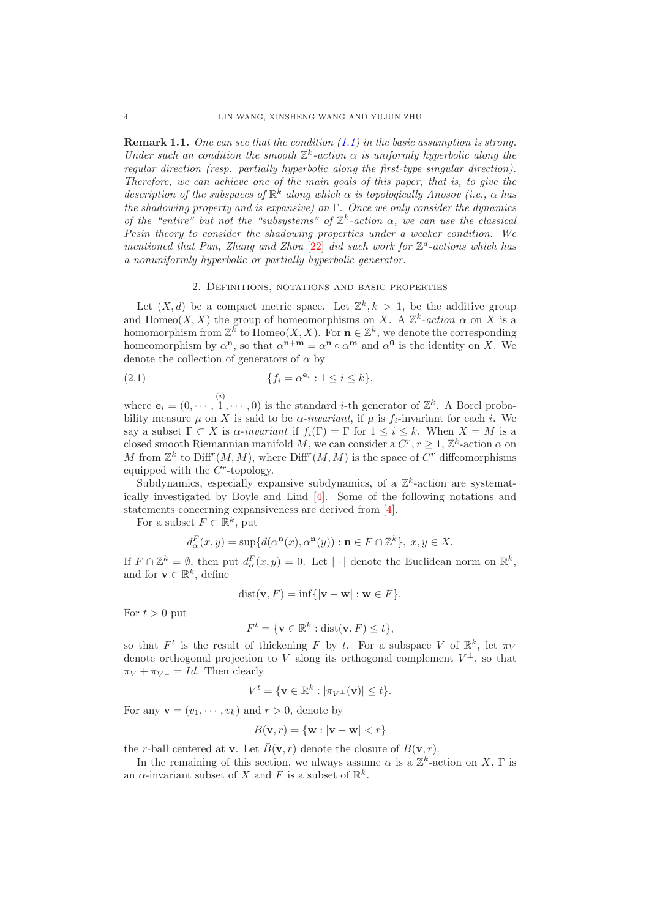Remark 1.1. One can see that the condition [\(1.1\)](#page-1-0) in the basic assumption is strong. Under such an condition the smooth  $\mathbb{Z}^k$ -action  $\alpha$  is uniformly hyperbolic along the regular direction (resp. partially hyperbolic along the first-type singular direction). Therefore, we can achieve one of the main goals of this paper, that is, to give the description of the subspaces of  $\mathbb{R}^k$  along which  $\alpha$  is topologically Anosov (i.e.,  $\alpha$  has the shadowing property and is expansive) on  $\Gamma$ . Once we only consider the dynamics of the "entire" but not the "subsystems" of  $\mathbb{Z}^k$ -action  $\alpha$ , we can use the classical Pesin theory to consider the shadowing properties under a weaker condition. We mentioned that Pan, Zhang and Zhou  $[22]$  did such work for  $\mathbb{Z}^d$ -actions which has a nonuniformly hyperbolic or partially hyperbolic generator.

#### 2. Definitions, notations and basic properties

Let  $(X, d)$  be a compact metric space. Let  $\mathbb{Z}^k, k > 1$ , be the additive group and Homeo $(X, X)$  the group of homeomorphisms on X. A  $\mathbb{Z}^k$ -action  $\alpha$  on X is a homomorphism from  $\mathbb{Z}^k$  to Homeo $(X, X)$ . For  $\mathbf{n} \in \mathbb{Z}^k$ , we denote the corresponding homeomorphism by  $\alpha^n$ , so that  $\alpha^{n+m} = \alpha^n \circ \alpha^m$  and  $\alpha^0$  is the identity on X. We denote the collection of generators of  $\alpha$  by

(2.1) 
$$
\{f_i = \alpha^{\mathbf{e}_i} : 1 \leq i \leq k\},\
$$

where  $\mathbf{e}_i = (0, \dots, 1, \dots, 0)$  is the standard *i*-th generator of  $\mathbb{Z}^k$ . A Borel probability measure  $\mu$  on X is said to be  $\alpha$ -invariant, if  $\mu$  is  $f_i$ -invariant for each i. We say a subset  $\Gamma \subset X$  is  $\alpha$ -invariant if  $f_i(\Gamma) = \Gamma$  for  $1 \leq i \leq k$ . When  $X = M$  is a closed smooth Riemannian manifold M, we can consider a  $C^r, r \geq 1, \mathbb{Z}^k$ -action  $\alpha$  on M from  $\mathbb{Z}^k$  to Diff<sup>r</sup> $(M, M)$ , where Diff<sup>r</sup> $(M, M)$  is the space of  $C^r$  diffeomorphisms equipped with the  $C^r$ -topology.

Subdynamics, especially expansive subdynamics, of a  $\mathbb{Z}^k$ -action are systematically investigated by Boyle and Lind [\[4\]](#page-23-0). Some of the following notations and statements concerning expansiveness are derived from [\[4\]](#page-23-0).

For a subset  $F \subset \mathbb{R}^k$ , put

$$
d^F_{\alpha}(x,y)=\sup\{d(\alpha^{\mathbf{n}}(x),\alpha^{\mathbf{n}}(y)): \mathbf{n}\in F\cap\mathbb{Z}^k\},\; x,y\in X.
$$

If  $F \cap \mathbb{Z}^k = \emptyset$ , then put  $d_{\alpha}^F(x, y) = 0$ . Let  $|\cdot|$  denote the Euclidean norm on  $\mathbb{R}^k$ , and for  $\mathbf{v} \in \mathbb{R}^k$ , define

$$
dist(\mathbf{v}, F) = \inf\{|\mathbf{v} - \mathbf{w}| : \mathbf{w} \in F\}.
$$

For  $t > 0$  put

$$
F^t = \{ \mathbf{v} \in \mathbb{R}^k : \text{dist}(\mathbf{v}, F) \le t \},
$$

so that  $F^t$  is the result of thickening F by t. For a subspace V of  $\mathbb{R}^k$ , let  $\pi_V$ denote orthogonal projection to V along its orthogonal complement  $V^{\perp}$ , so that  $\pi_V + \pi_{V^{\perp}} = Id.$  Then clearly

$$
V^t = \{ \mathbf{v} \in \mathbb{R}^k : |\pi_{V^{\perp}}(\mathbf{v})| \le t \}.
$$

For any  $\mathbf{v} = (v_1, \dots, v_k)$  and  $r > 0$ , denote by

$$
B(\mathbf{v},r) = \{\mathbf{w} : |\mathbf{v} - \mathbf{w}| < r\}
$$

the r-ball centered at **v**. Let  $\bar{B}(\mathbf{v}, r)$  denote the closure of  $B(\mathbf{v}, r)$ .

In the remaining of this section, we always assume  $\alpha$  is a  $\mathbb{Z}^k$ -action on X,  $\Gamma$  is an  $\alpha$ -invariant subset of X and F is a subset of  $\mathbb{R}^k$ .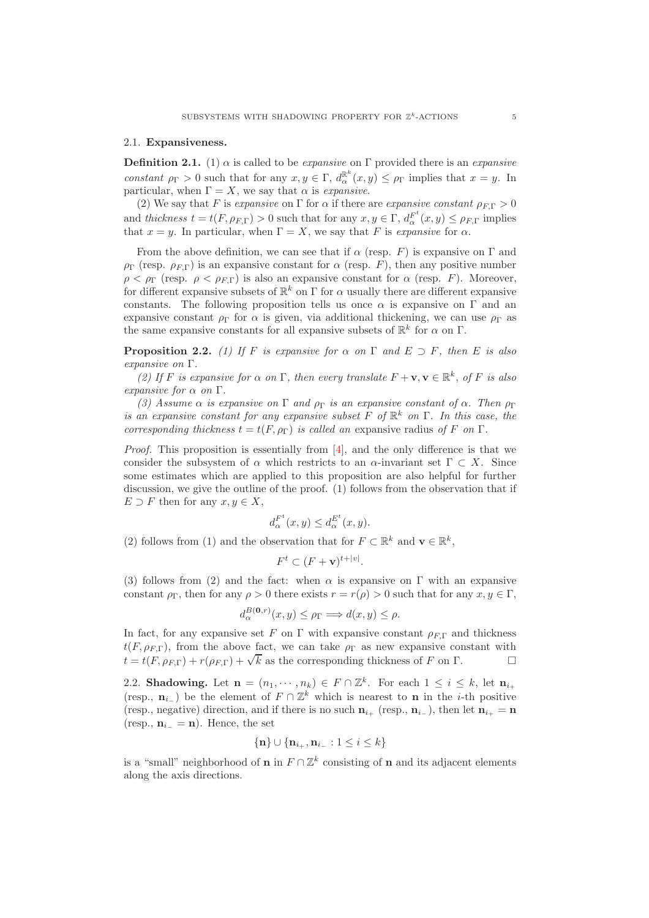#### 2.1. Expansiveness.

**Definition 2.1.** (1)  $\alpha$  is called to be *expansive* on  $\Gamma$  provided there is an *expansive* constant  $\rho_{\Gamma} > 0$  such that for any  $x, y \in \Gamma$ ,  $d_{\alpha}^{\mathbb{R}^{k}}(x, y) \leq \rho_{\Gamma}$  implies that  $x = y$ . In particular, when  $\Gamma = X$ , we say that  $\alpha$  is *expansive*.

(2) We say that F is expansive on Γ for  $\alpha$  if there are expansive constant  $\rho_{\text{FT}} > 0$ and thickness  $t = t(F, \rho_{F,\Gamma}) > 0$  such that for any  $x, y \in \Gamma$ ,  $d_{\alpha}^{F^t}(x, y) \leq \rho_{F,\Gamma}$  implies that  $x = y$ . In particular, when  $\Gamma = X$ , we say that F is expansive for  $\alpha$ .

From the above definition, we can see that if  $\alpha$  (resp. F) is expansive on  $\Gamma$  and  $\rho_{\Gamma}$  (resp.  $\rho_{F,\Gamma}$ ) is an expansive constant for  $\alpha$  (resp. F), then any positive number  $\rho < \rho_{\Gamma}$  (resp.  $\rho < \rho_{F,\Gamma}$ ) is also an expansive constant for  $\alpha$  (resp. F). Moreover, for different expansive subsets of  $\mathbb{R}^k$  on  $\Gamma$  for  $\alpha$  usually there are different expansive constants. The following proposition tells us once  $\alpha$  is expansive on  $\Gamma$  and an expansive constant  $\rho_{\Gamma}$  for  $\alpha$  is given, via additional thickening, we can use  $\rho_{\Gamma}$  as the same expansive constants for all expansive subsets of  $\mathbb{R}^k$  for  $\alpha$  on  $\Gamma$ .

<span id="page-4-0"></span>**Proposition 2.2.** (1) If F is expansive for  $\alpha$  on  $\Gamma$  and  $E \supset F$ , then E is also expansive on Γ.

(2) If F is expansive for  $\alpha$  on  $\Gamma$ , then every translate  $F + \mathbf{v}, \mathbf{v} \in \mathbb{R}^k$ , of F is also expansive for  $\alpha$  on  $\Gamma$ .

(3) Assume  $\alpha$  is expansive on  $\Gamma$  and  $\rho_{\Gamma}$  is an expansive constant of  $\alpha$ . Then  $\rho_{\Gamma}$ is an expansive constant for any expansive subset F of  $\mathbb{R}^k$  on  $\Gamma$ . In this case, the corresponding thickness  $t = t(F, \rho_{\Gamma})$  is called an expansive radius of F on  $\Gamma$ .

*Proof.* This proposition is essentially from  $[4]$ , and the only difference is that we consider the subsystem of  $\alpha$  which restricts to an  $\alpha$ -invariant set  $\Gamma \subset X$ . Since some estimates which are applied to this proposition are also helpful for further discussion, we give the outline of the proof. (1) follows from the observation that if  $E \supset F$  then for any  $x, y \in X$ ,

$$
d_{\alpha}^{F^t}(x,y) \leq d_{\alpha}^{E^t}(x,y).
$$

(2) follows from (1) and the observation that for  $F \subset \mathbb{R}^k$  and  $\mathbf{v} \in \mathbb{R}^k$ ,

$$
F^t \subset (F + \mathbf{v})^{t+|v|}.
$$

(3) follows from (2) and the fact: when  $\alpha$  is expansive on Γ with an expansive constant  $\rho_{\Gamma}$ , then for any  $\rho > 0$  there exists  $r = r(\rho) > 0$  such that for any  $x, y \in \Gamma$ ,

$$
d_{\alpha}^{B(\mathbf{0},r)}(x,y) \leq \rho_{\Gamma} \Longrightarrow d(x,y) \leq \rho.
$$

In fact, for any expansive set F on  $\Gamma$  with expansive constant  $\rho_{ET}$  and thickness  $t(F, \rho_{F,\Gamma})$ , from the above fact, we can take  $\rho_{\Gamma}$  as new expansive constant with  $t = t(F, \rho_{F,\Gamma}) + r(\rho_{F,\Gamma}) + \sqrt{k}$  as the corresponding thickness of F on  $\Gamma$ .

2.2. Shadowing. Let  $\mathbf{n} = (n_1, \dots, n_k) \in F \cap \mathbb{Z}^k$ . For each  $1 \leq i \leq k$ , let  $\mathbf{n}_{i+1}$ (resp.,  $\mathbf{n}_{i-}$ ) be the element of  $F \cap \mathbb{Z}^k$  which is nearest to **n** in the *i*-th positive (resp., negative) direction, and if there is no such  $n_{i_{+}}$  (resp.,  $n_{i_{-}}$ ), then let  $n_{i_{+}} = n$ (resp.,  $\mathbf{n}_{i-} = \mathbf{n}$ ). Hence, the set

$$
\{\mathbf{n}\} \cup \{\mathbf{n}_{i_+}, \mathbf{n}_{i_-} : 1 \le i \le k\}
$$

is a "small" neighborhood of **n** in  $F \cap \mathbb{Z}^k$  consisting of **n** and its adjacent elements along the axis directions.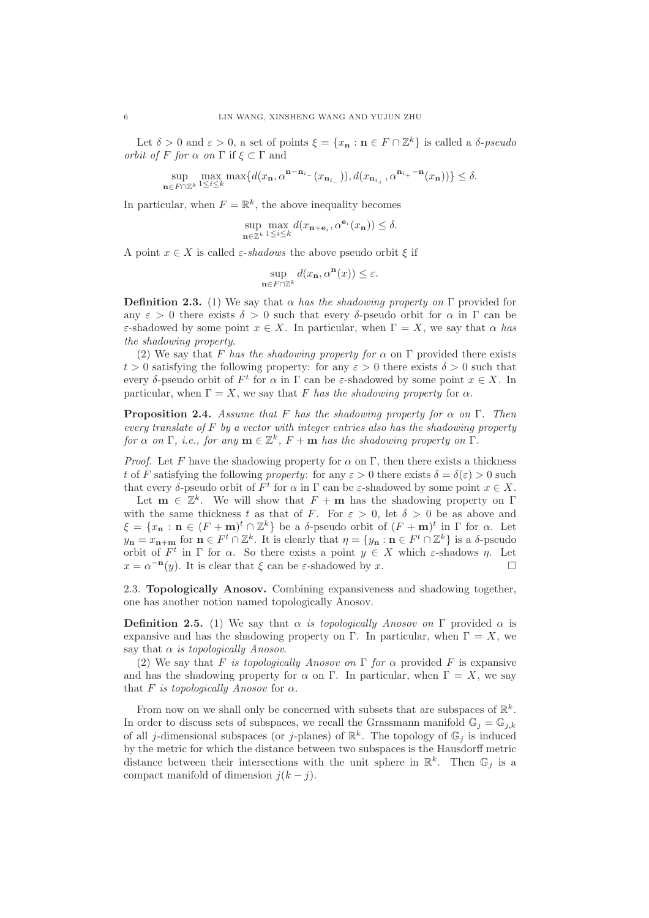Let  $\delta > 0$  and  $\varepsilon > 0$ , a set of points  $\xi = \{x_n : n \in F \cap \mathbb{Z}^k\}$  is called a  $\delta$ -pseudo *orbit of F for*  $\alpha$  *on*  $\Gamma$  if  $\xi \subset \Gamma$  and

> sup  $\mathbf{n} \in F \cap \mathbb{Z}^k$ max  $\max\{d(x_n, \alpha^{n-n_{i_-}}(x_{n_{i_-}})), d(x_{n_{i_+}}, \alpha^{n_{i_+}-n}(x_n))\} \le \delta.$

In particular, when  $F = \mathbb{R}^k$ , the above inequality becomes

$$
\sup_{\mathbf{n}\in\mathbb{Z}^k} \max_{1\leq i\leq k} d(x_{\mathbf{n}+\mathbf{e}_i}, \alpha^{\mathbf{e}_i}(x_{\mathbf{n}})) \leq \delta.
$$

A point  $x \in X$  is called  $\varepsilon$ -shadows the above pseudo orbit  $\xi$  if

$$
\sup_{\mathbf{n}\in F\cap\mathbb{Z}^k} d(x_{\mathbf{n}}, \alpha^{\mathbf{n}}(x)) \le \varepsilon.
$$

**Definition 2.3.** (1) We say that  $\alpha$  has the shadowing property on  $\Gamma$  provided for any  $\varepsilon > 0$  there exists  $\delta > 0$  such that every δ-pseudo orbit for  $\alpha$  in  $\Gamma$  can be ε-shadowed by some point  $x \in X$ . In particular, when  $\Gamma = X$ , we say that  $\alpha$  has the shadowing property.

(2) We say that F has the shadowing property for  $\alpha$  on  $\Gamma$  provided there exists  $t > 0$  satisfying the following property: for any  $\varepsilon > 0$  there exists  $\delta > 0$  such that every δ-pseudo orbit of  $F^t$  for  $\alpha$  in  $\Gamma$  can be  $\varepsilon$ -shadowed by some point  $x \in X$ . In particular, when  $\Gamma = X$ , we say that F has the shadowing property for  $\alpha$ .

<span id="page-5-0"></span>**Proposition 2.4.** Assume that F has the shadowing property for  $\alpha$  on  $\Gamma$ . Then every translate of  $F$  by a vector with integer entries also has the shadowing property for  $\alpha$  on  $\Gamma$ , i.e., for any  $\mathbf{m} \in \mathbb{Z}^k$ ,  $F + \mathbf{m}$  has the shadowing property on  $\Gamma$ .

*Proof.* Let F have the shadowing property for  $\alpha$  on Γ, then there exists a thickness t of F satisfying the following property: for any  $\varepsilon > 0$  there exists  $\delta = \delta(\varepsilon) > 0$  such that every  $\delta$ -pseudo orbit of  $F^t$  for  $\alpha$  in  $\Gamma$  can be  $\varepsilon$ -shadowed by some point  $x \in X$ .

Let  $\mathbf{m} \in \mathbb{Z}^k$ . We will show that  $F + \mathbf{m}$  has the shadowing property on  $\Gamma$ with the same thickness t as that of F. For  $\varepsilon > 0$ , let  $\delta > 0$  be as above and  $\xi = \{x_n : n \in (F + m)^t \cap \mathbb{Z}^k\}$  be a δ-pseudo orbit of  $(F + m)^t$  in  $\Gamma$  for  $\alpha$ . Let  $y_{\mathbf{n}} = x_{\mathbf{n}+\mathbf{m}}$  for  $\mathbf{n} \in F^t \cap \mathbb{Z}^k$ . It is clearly that  $\eta = \{y_{\mathbf{n}} : \mathbf{n} \in F^t \cap \mathbb{Z}^k\}$  is a  $\delta$ -pseudo orbit of  $F^t$  in  $\Gamma$  for  $\alpha$ . So there exists a point  $y \in X$  which  $\varepsilon$ -shadows  $\eta$ . Let  $x = \alpha^{-n}(y)$ . It is clear that  $\xi$  can be  $\varepsilon$ -shadowed by x.

2.3. Topologically Anosov. Combining expansiveness and shadowing together, one has another notion named topologically Anosov.

**Definition 2.5.** (1) We say that  $\alpha$  is topologically Anosov on Γ provided  $\alpha$  is expansive and has the shadowing property on Γ. In particular, when  $\Gamma = X$ , we say that  $\alpha$  is topologically Anosov.

(2) We say that F is topologically Anosov on  $\Gamma$  for  $\alpha$  provided F is expansive and has the shadowing property for  $\alpha$  on Γ. In particular, when  $\Gamma = X$ , we say that F is topologically Anosov for  $\alpha$ .

From now on we shall only be concerned with subsets that are subspaces of  $\mathbb{R}^k$ . In order to discuss sets of subspaces, we recall the Grassmann manifold  $\mathbb{G}_i = \mathbb{G}_{i,k}$ of all j-dimensional subspaces (or j-planes) of  $\mathbb{R}^k$ . The topology of  $\mathbb{G}_j$  is induced by the metric for which the distance between two subspaces is the Hausdorff metric distance between their intersections with the unit sphere in  $\mathbb{R}^k$ . Then  $\mathbb{G}_j$  is a compact manifold of dimension  $j(k - j)$ .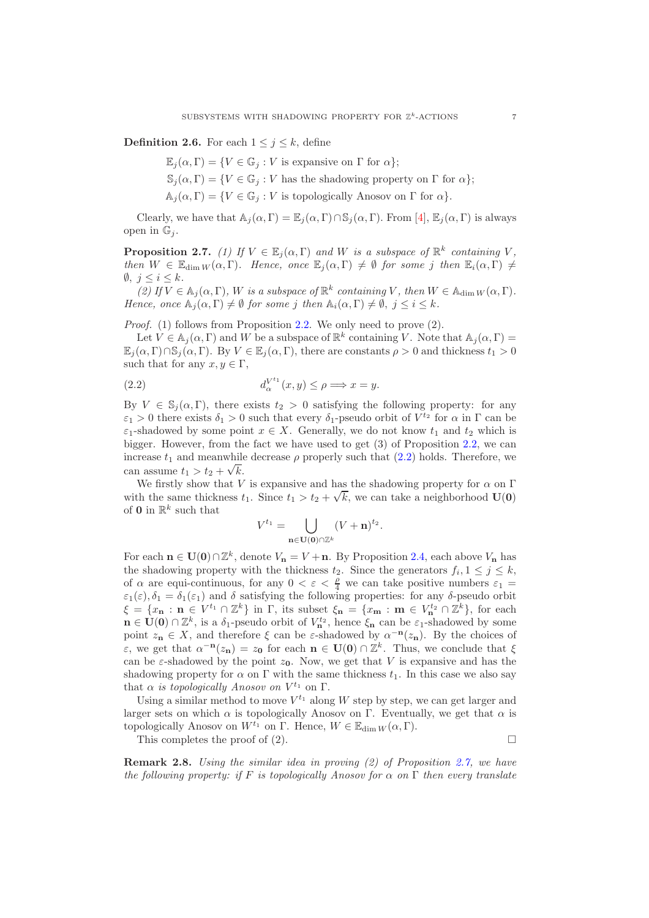**Definition 2.6.** For each  $1 \leq j \leq k$ , define

- $\mathbb{E}_{i}(\alpha,\Gamma)=\{V\in\mathbb{G}_{i}:V\text{ is expensive on }\Gamma\text{ for }\alpha\};$
- $\mathbb{S}_i(\alpha,\Gamma) = \{V \in \mathbb{G}_i : V \text{ has the shadowing property on } \Gamma \text{ for } \alpha\};$
- $\mathbb{A}_i(\alpha,\Gamma) = \{V \in \mathbb{G}_i : V \text{ is topologically Anosov on } \Gamma \text{ for } \alpha\}.$

Clearly, we have that  $\mathbb{A}_i(\alpha,\Gamma) = \mathbb{E}_i(\alpha,\Gamma) \cap \mathbb{S}_i(\alpha,\Gamma)$ . From [\[4\]](#page-23-0),  $\mathbb{E}_i(\alpha,\Gamma)$  is always open in  $\mathbb{G}_i$ .

<span id="page-6-0"></span>**Proposition 2.7.** (1) If  $V \in \mathbb{E}_j(\alpha, \Gamma)$  and W is a subspace of  $\mathbb{R}^k$  containing V, then  $W \in \mathbb{E}_{\dim W}(\alpha, \Gamma)$ . Hence, once  $\mathbb{E}_i(\alpha, \Gamma) \neq \emptyset$  for some j then  $\mathbb{E}_i(\alpha, \Gamma) \neq \emptyset$  $\emptyset, j \leq i \leq k$ .

(2) If  $V \in A_j(\alpha, \Gamma)$ , W is a subspace of  $\mathbb{R}^k$  containing V, then  $W \in A_{\dim W}(\alpha, \Gamma)$ . Hence, once  $\mathbb{A}_i(\alpha,\Gamma) \neq \emptyset$  for some j then  $\mathbb{A}_i(\alpha,\Gamma) \neq \emptyset$ ,  $j \leq i \leq k$ .

Proof. (1) follows from Proposition [2.2.](#page-4-0) We only need to prove (2).

Let  $V \in A_j(\alpha, \Gamma)$  and W be a subspace of  $\mathbb{R}^k$  containing V. Note that  $A_j(\alpha, \Gamma) =$  $\mathbb{E}_j(\alpha,\Gamma)\cap\mathbb{S}_j(\alpha,\Gamma)$ . By  $V\in\mathbb{E}_j(\alpha,\Gamma)$ , there are constants  $\rho>0$  and thickness  $t_1>0$ such that for any  $x, y \in \Gamma$ ,

<span id="page-6-1"></span>(2.2) 
$$
d_{\alpha}^{V^{t_1}}(x,y) \leq \rho \Longrightarrow x = y.
$$

By  $V \in \mathbb{S}_i(\alpha, \Gamma)$ , there exists  $t_2 > 0$  satisfying the following property: for any  $\varepsilon_1 > 0$  there exists  $\delta_1 > 0$  such that every  $\delta_1$ -pseudo orbit of  $V^{t_2}$  for  $\alpha$  in  $\Gamma$  can be  $\varepsilon_1$ -shadowed by some point  $x \in X$ . Generally, we do not know  $t_1$  and  $t_2$  which is bigger. However, from the fact we have used to get (3) of Proposition [2.2,](#page-4-0) we can increase  $t_1$  and meanwhile decrease  $\rho$  properly such that [\(2.2\)](#page-6-1) holds. Therefore, we can assume  $t_1 > t_2 + \sqrt{k}$ .

We firstly show that V is expansive and has the shadowing property for  $\alpha$  on  $\Gamma$ with the same thickness  $t_1$ . Since  $t_1 > t_2 + \sqrt{k}$ , we can take a neighborhood  $\mathbf{U(0)}$ of **0** in  $\mathbb{R}^k$  such that

$$
V^{t_1} = \bigcup_{\mathbf{n} \in \mathbf{U}(\mathbf{0}) \cap \mathbb{Z}^k} (V + \mathbf{n})^{t_2}.
$$

For each  $n \in U(0) \cap \mathbb{Z}^k$ , denote  $V_n = V + n$ . By Proposition [2.4,](#page-5-0) each above  $V_n$  has the shadowing property with the thickness  $t_2$ . Since the generators  $f_i, 1 \leq j \leq k$ , of  $\alpha$  are equi-continuous, for any  $0 < \varepsilon < \frac{\rho}{4}$  we can take positive numbers  $\varepsilon_1 =$  $\varepsilon_1(\varepsilon), \delta_1 = \delta_1(\varepsilon_1)$  and  $\delta$  satisfying the following properties: for any  $\delta$ -pseudo orbit  $\xi = \{x_{\mathbf{n}} : \mathbf{n} \in V^{t_1} \cap \mathbb{Z}^k\}$  in  $\Gamma$ , its subset  $\xi_{\mathbf{n}} = \{x_{\mathbf{m}} : \mathbf{m} \in V^{t_2} \cap \mathbb{Z}^k\}$ , for each  $\mathbf{n} \in \mathbf{U}(0) \cap \mathbb{Z}^k$ , is a  $\delta_1$ -pseudo orbit of  $V^{t_2}_n$ , hence  $\xi_n$  can be  $\varepsilon_1$ -shadowed by some point  $z_n \in X$ , and therefore  $\xi$  can be  $\varepsilon$ -shadowed by  $\alpha^{-n}(z_n)$ . By the choices of ε, we get that  $\alpha^{-n}(z_n) = z_0$  for each **n** ∈ **U**(0) ∩  $\mathbb{Z}^k$ . Thus, we conclude that  $\xi$ can be  $\varepsilon$ -shadowed by the point  $z_0$ . Now, we get that V is expansive and has the shadowing property for  $\alpha$  on  $\Gamma$  with the same thickness  $t_1$ . In this case we also say that  $\alpha$  is topologically Anosov on  $V^{t_1}$  on  $\Gamma$ .

Using a similar method to move  $V^{t_1}$  along W step by step, we can get larger and larger sets on which  $\alpha$  is topologically Anosov on Γ. Eventually, we get that  $\alpha$  is topologically Anosov on  $W^{t_1}$  on Γ. Hence,  $W \in \mathbb{E}_{\dim W}(\alpha, \Gamma)$ .

This completes the proof of  $(2)$ .

Remark 2.8. Using the similar idea in proving (2) of Proposition [2.7,](#page-6-0) we have the following property: if F is topologically Anosov for  $\alpha$  on  $\Gamma$  then every translate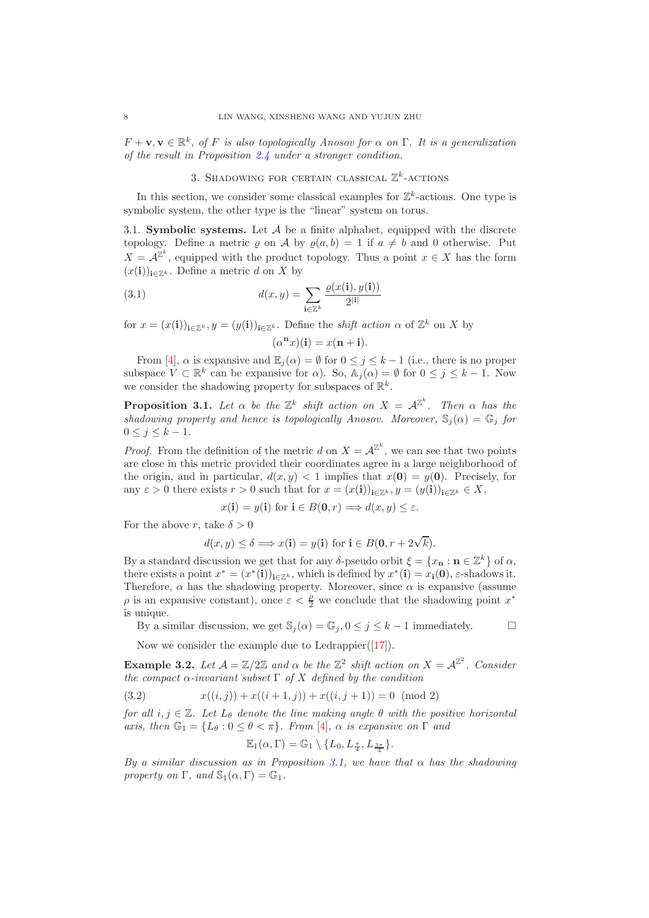$F + \mathbf{v}, \mathbf{v} \in \mathbb{R}^k$ , of F is also topologically Anosov for  $\alpha$  on  $\Gamma$ . It is a generalization of the result in Proposition [2.4](#page-5-0) under a stronger condition.

## 3. SHADOWING FOR CERTAIN CLASSICAL  $\mathbb{Z}^k$ -ACTIONS

In this section, we consider some classical examples for  $\mathbb{Z}^k$ -actions. One type is symbolic system, the other type is the "linear" system on torus.

3.1. Symbolic systems. Let  $A$  be a finite alphabet, equipped with the discrete topology. Define a metric  $\rho$  on A by  $\rho(a, b) = 1$  if  $a \neq b$  and 0 otherwise. Put  $X = \mathcal{A}^{\mathbb{Z}^k}$ , equipped with the product topology. Thus a point  $x \in X$  has the form  $(x(i))_{i\in\mathbb{Z}^k}$ . Define a metric d on X by

(3.1) 
$$
d(x,y) = \sum_{\mathbf{i} \in \mathbb{Z}^k} \frac{\varrho(x(\mathbf{i}), y(\mathbf{i}))}{2^{|\mathbf{i}|}}
$$

for  $x = (x(i))_{i \in \mathbb{Z}^k}$ ,  $y = (y(i))_{i \in \mathbb{Z}^k}$ . Define the *shift action*  $\alpha$  of  $\mathbb{Z}^k$  on X by

$$
(\alpha^{\mathbf{n}}x)(\mathbf{i}) = x(\mathbf{n} + \mathbf{i}).
$$

From [\[4\]](#page-23-0),  $\alpha$  is expansive and  $\mathbb{E}_j(\alpha) = \emptyset$  for  $0 \le j \le k-1$  (i.e., there is no proper subspace  $V \subset \mathbb{R}^k$  can be expansive for  $\alpha$ ). So,  $\mathbb{A}_j(\alpha) = \emptyset$  for  $0 \le j \le k - 1$ . Now we consider the shadowing property for subspaces of  $\mathbb{R}^k$ .

<span id="page-7-0"></span>**Proposition 3.1.** Let  $\alpha$  be the  $\mathbb{Z}^k$  shift action on  $X = \mathcal{A}^{\mathbb{Z}^k}$ . Then  $\alpha$  has the shadowing property and hence is topologically Anosov. Moreover,  $\mathbb{S}_j(\alpha) = \mathbb{G}_j$  for  $0 \leq j \leq k-1$ .

*Proof.* From the definition of the metric d on  $X = \mathcal{A}^{\mathbb{Z}^k}$ , we can see that two points are close in this metric provided their coordinates agree in a large neighborhood of the origin, and in particular,  $d(x, y) < 1$  implies that  $x(0) = y(0)$ . Precisely, for any  $\varepsilon > 0$  there exists  $r > 0$  such that for  $x = (x(i))_{i \in \mathbb{Z}^k}$ ,  $y = (y(i))_{i \in \mathbb{Z}^k} \in X$ ,

$$
x(\mathbf{i}) = y(\mathbf{i})
$$
 for  $\mathbf{i} \in B(\mathbf{0}, r) \Longrightarrow d(x, y) \leq \varepsilon$ .

For the above r, take  $\delta > 0$ 

$$
d(x, y) \le \delta \Longrightarrow x(\mathbf{i}) = y(\mathbf{i}) \text{ for } \mathbf{i} \in B(\mathbf{0}, r + 2\sqrt{k}).
$$

By a standard discussion we get that for any  $\delta$ -pseudo orbit  $\xi = \{x_n : n \in \mathbb{Z}^k\}$  of  $\alpha$ , there exists a point  $x^* = (x^*(i))_{i \in \mathbb{Z}^k}$ , which is defined by  $x^*(i) = x_i(0)$ ,  $\varepsilon$ -shadows it. Therefore,  $\alpha$  has the shadowing property. Moreover, since  $\alpha$  is expansive (assume  $\rho$  is an expansive constant), once  $\varepsilon < \frac{\rho}{2}$  we conclude that the shadowing point  $x^*$ is unique.

By a similar discussion, we get  $\mathbb{S}_i(\alpha) = \mathbb{G}_i, 0 \leq j \leq k-1$  immediately.

Now we consider the example due to Ledrappier $([17])$  $([17])$  $([17])$ .

**Example 3.2.** Let  $\mathcal{A} = \mathbb{Z}/2\mathbb{Z}$  and  $\alpha$  be the  $\mathbb{Z}^2$  shift action on  $X = \mathcal{A}^{\mathbb{Z}^2}$ . Consider the compact  $\alpha$ -invariant subset  $\Gamma$  of X defined by the condition

$$
(3.2) \t x((i,j)) + x((i+1,j)) + x((i,j+1)) = 0 \pmod{2}
$$

for all  $i, j \in \mathbb{Z}$ . Let  $L_{\theta}$  denote the line making angle  $\theta$  with the positive horizontal axis, then  $\mathbb{G}_1 = \{L_\theta : 0 \leq \theta < \pi\}$ . From [\[4\]](#page-23-0),  $\alpha$  is expansive on  $\Gamma$  and

$$
\mathbb{E}_1(\alpha,\Gamma)=\mathbb{G}_1\setminus\{L_0,L_{\frac{\pi}{4}},L_{\frac{3\pi}{4}}\}.
$$

By a similar discussion as in Proposition [3.1,](#page-7-0) we have that  $\alpha$  has the shadowing property on  $\Gamma$ , and  $\mathbb{S}_1(\alpha,\Gamma)=\mathbb{G}_1$ .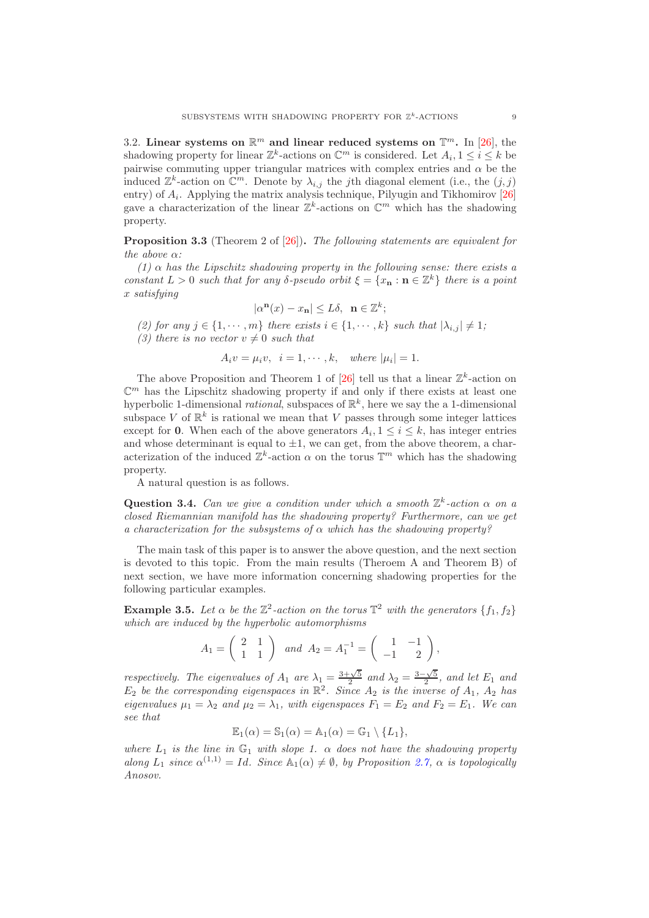3.2. Linear systems on  $\mathbb{R}^m$  and linear reduced systems on  $\mathbb{T}^m$ . In [\[26\]](#page-24-2), the shadowing property for linear  $\mathbb{Z}^k$ -actions on  $\mathbb{C}^m$  is considered. Let  $A_i, 1 \leq i \leq k$  be pairwise commuting upper triangular matrices with complex entries and  $\alpha$  be the induced  $\mathbb{Z}^k$ -action on  $\mathbb{C}^m$ . Denote by  $\lambda_{i,j}$  the j<sup>th</sup> diagonal element (i.e., the  $(j, j)$ entry) of  $A_i$ . Applying the matrix analysis technique, Pilyugin and Tikhomirov [\[26\]](#page-24-2) gave a characterization of the linear  $\mathbb{Z}^k$ -actions on  $\mathbb{C}^m$  which has the shadowing property.

**Proposition 3.3** (Theorem 2 of [\[26\]](#page-24-2)). The following statements are equivalent for the above  $\alpha$ :

(1)  $\alpha$  has the Lipschitz shadowing property in the following sense: there exists a constant  $L > 0$  such that for any  $\delta$ -pseudo orbit  $\xi = \{x_n : n \in \mathbb{Z}^k\}$  there is a point x satisfying

$$
|\alpha^{\mathbf{n}}(x) - x_{\mathbf{n}}| \le L\delta, \ \ \mathbf{n} \in \mathbb{Z}^{k};
$$

(2) for any  $j \in \{1, \dots, m\}$  there exists  $i \in \{1, \dots, k\}$  such that  $|\lambda_{i,j}| \neq 1$ ;

(3) there is no vector  $v \neq 0$  such that

$$
A_i v = \mu_i v, \quad i = 1, \cdots, k, \quad where \quad |\mu_i| = 1.
$$

The above Proposition and Theorem 1 of [\[26\]](#page-24-2) tell us that a linear  $\mathbb{Z}^k$ -action on  $\mathbb{C}^m$  has the Lipschitz shadowing property if and only if there exists at least one hyperbolic 1-dimensional *rational*, subspaces of  $\mathbb{R}^k$ , here we say the a 1-dimensional subspace V of  $\mathbb{R}^k$  is rational we mean that V passes through some integer lattices except for **0**. When each of the above generators  $A_i, 1 \leq i \leq k$ , has integer entries and whose determinant is equal to  $\pm 1$ , we can get, from the above theorem, a characterization of the induced  $\mathbb{Z}^k$ -action  $\alpha$  on the torus  $\mathbb{T}^m$  which has the shadowing property.

A natural question is as follows.

Question 3.4. Can we give a condition under which a smooth  $\mathbb{Z}^k$ -action  $\alpha$  on a closed Riemannian manifold has the shadowing property? Furthermore, can we get a characterization for the subsystems of  $\alpha$  which has the shadowing property?

The main task of this paper is to answer the above question, and the next section is devoted to this topic. From the main results (Theroem A and Theorem B) of next section, we have more information concerning shadowing properties for the following particular examples.

<span id="page-8-0"></span>**Example 3.5.** Let  $\alpha$  be the  $\mathbb{Z}^2$ -action on the torus  $\mathbb{T}^2$  with the generators  $\{f_1, f_2\}$ which are induced by the hyperbolic automorphisms

$$
A_1 = \begin{pmatrix} 2 & 1 \\ 1 & 1 \end{pmatrix} \text{ and } A_2 = A_1^{-1} = \begin{pmatrix} 1 & -1 \\ -1 & 2 \end{pmatrix}
$$

,

respectively. The eigenvalues of  $A_1$  are  $\lambda_1 = \frac{3+\sqrt{5}}{2}$  and  $\lambda_2 = \frac{3-\sqrt{5}}{2}$ , and let  $E_1$  and  $E_2$  be the corresponding eigenspaces in  $\mathbb{R}^2$ . Since  $A_2$  is the inverse of  $A_1$ ,  $A_2$  has eigenvalues  $\mu_1 = \lambda_2$  and  $\mu_2 = \lambda_1$ , with eigenspaces  $F_1 = E_2$  and  $F_2 = E_1$ . We can see that

$$
\mathbb{E}_1(\alpha) = \mathbb{S}_1(\alpha) = \mathbb{A}_1(\alpha) = \mathbb{G}_1 \setminus \{L_1\},\
$$

where  $L_1$  is the line in  $\mathbb{G}_1$  with slope 1.  $\alpha$  does not have the shadowing property along  $L_1$  since  $\alpha^{(1,1)} = Id$ . Since  $\mathbb{A}_1(\alpha) \neq \emptyset$ , by Proposition [2.7,](#page-6-0)  $\alpha$  is topologically Anosov.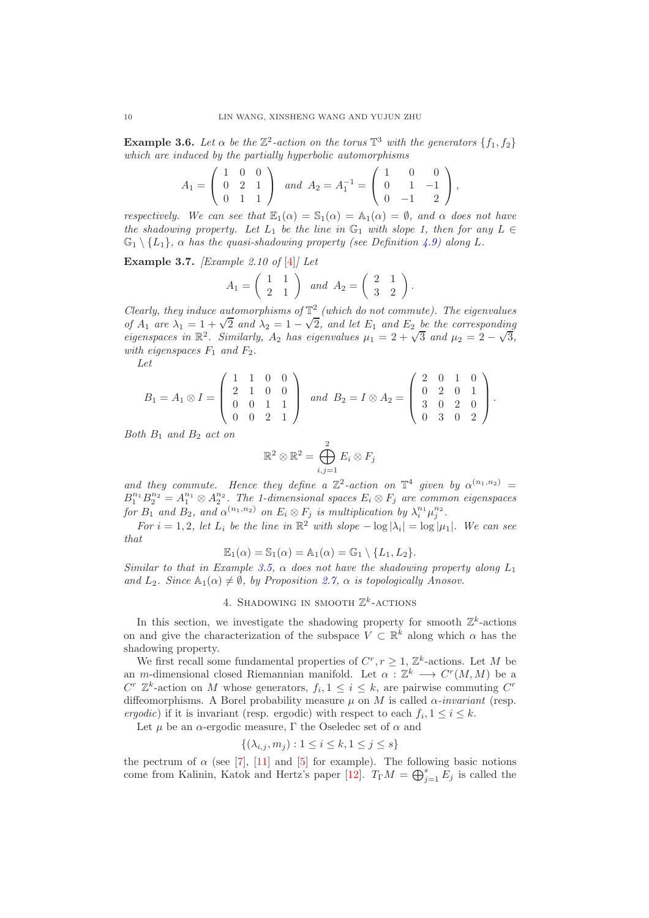<span id="page-9-0"></span>**Example 3.6.** Let  $\alpha$  be the  $\mathbb{Z}^2$ -action on the torus  $\mathbb{T}^3$  with the generators  $\{f_1, f_2\}$ which are induced by the partially hyperbolic automorphisms

$$
A_1 = \begin{pmatrix} 1 & 0 & 0 \\ 0 & 2 & 1 \\ 0 & 1 & 1 \end{pmatrix} \text{ and } A_2 = A_1^{-1} = \begin{pmatrix} 1 & 0 & 0 \\ 0 & 1 & -1 \\ 0 & -1 & 2 \end{pmatrix},
$$

respectively. We can see that  $\mathbb{E}_1(\alpha) = \mathbb{S}_1(\alpha) = \mathbb{A}_1(\alpha) = \emptyset$ , and  $\alpha$  does not have the shadowing property. Let  $L_1$  be the line in  $\mathbb{G}_1$  with slope 1, then for any  $L \in$  $\mathbb{G}_1 \setminus \{L_1\}$ ,  $\alpha$  has the quasi-shadowing property (see Definition [4.9\)](#page-17-0) along L.

<span id="page-9-1"></span>**Example 3.7.** *[Example 2.10 of [\[4\]](#page-23-0)] Let* 

$$
A_1 = \left(\begin{array}{cc} 1 & 1 \\ 2 & 1 \end{array}\right) \quad and \quad A_2 = \left(\begin{array}{cc} 2 & 1 \\ 3 & 2 \end{array}\right).
$$

Clearly, they induce automorphisms of  $\mathbb{T}^2$  (which do not commute). The eigenvalues of  $A_1$  are  $\lambda_1 = 1 + \sqrt{2}$  and  $\lambda_2 = 1 - \sqrt{2}$ , and let  $E_1$  and  $E_2$  be the corresponding<br>circumnation  $\mathbb{P}^2$  Similarly, A, has circumnative  $\mu_1 = 2 + \sqrt{2}$  and  $\mu_2 = 2 - \sqrt{2}$ . eigenspaces in  $\mathbb{R}^2$ . Similarly,  $A_2$  has eigenvalues  $\mu_1 = 2 + \sqrt{3}$  and  $\mu_2 = 2 - \sqrt{3}$ , with eigenspaces  $F_1$  and  $F_2$ .

Let

$$
B_1 = A_1 \otimes I = \begin{pmatrix} 1 & 1 & 0 & 0 \\ 2 & 1 & 0 & 0 \\ 0 & 0 & 1 & 1 \\ 0 & 0 & 2 & 1 \end{pmatrix} \text{ and } B_2 = I \otimes A_2 = \begin{pmatrix} 2 & 0 & 1 & 0 \\ 0 & 2 & 0 & 1 \\ 3 & 0 & 2 & 0 \\ 0 & 3 & 0 & 2 \end{pmatrix}.
$$

Both  $B_1$  and  $B_2$  act on

$$
\mathbb{R}^2 \otimes \mathbb{R}^2 = \bigoplus_{i,j=1}^2 E_i \otimes F_j
$$

and they commute. Hence they define a  $\mathbb{Z}^2$ -action on  $\mathbb{T}^4$  given by  $\alpha^{(n_1,n_2)}$  =  $B_1^{n_1}B_2^{n_2}=A_1^{n_1}\otimes A_2^{n_2}$ . The 1-dimensional spaces  $E_i\otimes F_j$  are common eigenspaces for  $B_1$  and  $B_2$ , and  $\alpha^{(n_1,n_2)}$  on  $E_i \otimes F_j$  is multiplication by  $\lambda_i^{n_1} \mu_j^{n_2}$ .

For  $i = 1, 2$ , let  $L_i$  be the line in  $\mathbb{R}^2$  with slope  $-\log |\lambda_i| = \log |\mu_1|$ . We can see that

$$
\mathbb{E}_1(\alpha) = \mathbb{S}_1(\alpha) = \mathbb{A}_1(\alpha) = \mathbb{G}_1 \setminus \{L_1, L_2\}.
$$

Similar to that in Example [3.5,](#page-8-0)  $\alpha$  does not have the shadowing property along  $L_1$ and  $L_2$ . Since  $\mathbb{A}_1(\alpha) \neq \emptyset$ , by Proposition [2.7,](#page-6-0)  $\alpha$  is topologically Anosov.

## 4. SHADOWING IN SMOOTH  $\mathbb{Z}^k$ -ACTIONS

In this section, we investigate the shadowing property for smooth  $\mathbb{Z}^k$ -actions on and give the characterization of the subspace  $V \subset \mathbb{R}^k$  along which  $\alpha$  has the shadowing property.

We first recall some fundamental properties of  $C^r, r \geq 1, \mathbb{Z}^k$ -actions. Let M be an m-dimensional closed Riemannian manifold. Let  $\alpha : \mathbb{Z}^k \longrightarrow C^r(M, M)$  be a  $C^r$   $\mathbb{Z}^k$ -action on M whose generators,  $f_i, 1 \leq i \leq k$ , are pairwise commuting  $C^r$ diffeomorphisms. A Borel probability measure  $\mu$  on M is called  $\alpha$ -invariant (resp. ergodic) if it is invariant (resp. ergodic) with respect to each  $f_i, 1 \leq i \leq k$ .

Let  $\mu$  be an  $\alpha$ -ergodic measure,  $\Gamma$  the Oseledec set of  $\alpha$  and

$$
\{(\lambda_{i,j}, m_j) : 1 \le i \le k, 1 \le j \le s\}
$$

the pectrum of  $\alpha$  (see [\[7\]](#page-23-9), [\[11\]](#page-23-10) and [\[5\]](#page-23-11) for example). The following basic notions come from Kalinin, Katok and Hertz's paper [\[12\]](#page-23-14).  $T_{\Gamma}M = \bigoplus_{j=1}^{s} E_j$  is called the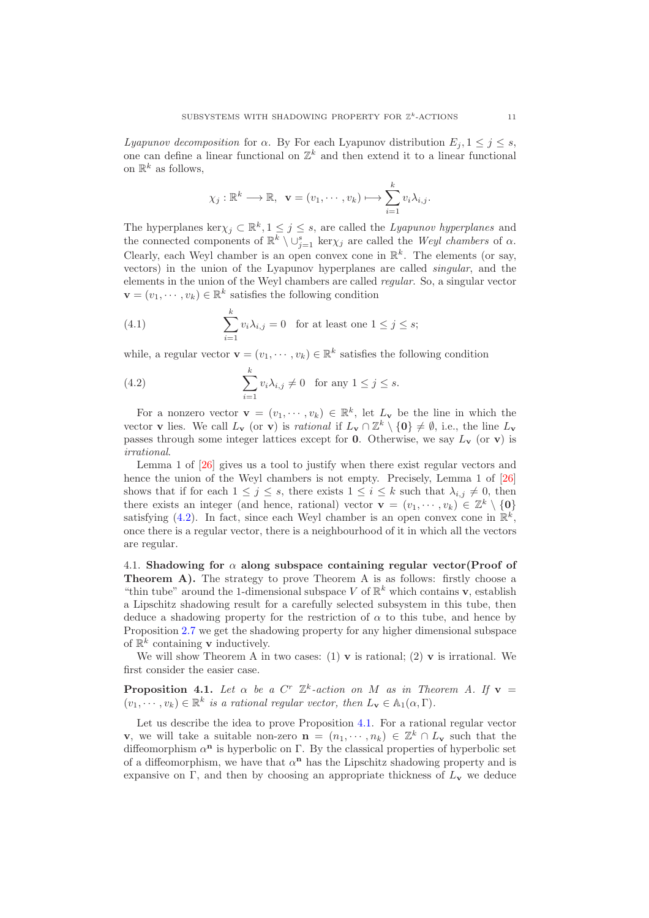Lyapunov decomposition for  $\alpha$ . By For each Lyapunov distribution  $E_i, 1 \leq j \leq s$ , one can define a linear functional on  $\mathbb{Z}^k$  and then extend it to a linear functional on  $\mathbb{R}^k$  as follows,

$$
\chi_j : \mathbb{R}^k \longrightarrow \mathbb{R}, \ \mathbf{v} = (v_1, \dots, v_k) \longmapsto \sum_{i=1}^k v_i \lambda_{i,j}.
$$

The hyperplanes ker $\chi_j \subset \mathbb{R}^k, 1 \leq j \leq s$ , are called the *Lyapunov hyperplanes* and the connected components of  $\mathbb{R}^k \setminus \cup_{j=1}^s \ker \chi_j$  are called the Weyl chambers of  $\alpha$ . Clearly, each Weyl chamber is an open convex cone in  $\mathbb{R}^k$ . The elements (or say, vectors) in the union of the Lyapunov hyperplanes are called singular, and the elements in the union of the Weyl chambers are called regular. So, a singular vector  $\mathbf{v} = (v_1, \dots, v_k) \in \mathbb{R}^k$  satisfies the following condition

(4.1) 
$$
\sum_{i=1}^{k} v_i \lambda_{i,j} = 0 \text{ for at least one } 1 \leq j \leq s;
$$

while, a regular vector  $\mathbf{v} = (v_1, \dots, v_k) \in \mathbb{R}^k$  satisfies the following condition

<span id="page-10-0"></span>(4.2) 
$$
\sum_{i=1}^{k} v_i \lambda_{i,j} \neq 0 \text{ for any } 1 \leq j \leq s.
$$

For a nonzero vector  $\mathbf{v} = (v_1, \dots, v_k) \in \mathbb{R}^k$ , let  $L_\mathbf{v}$  be the line in which the vector **v** lies. We call  $L_v$  (or **v**) is *rational* if  $L_v \cap \mathbb{Z}^k \setminus \{0\} \neq \emptyset$ , i.e., the line  $L_v$ passes through some integer lattices except for 0. Otherwise, we say  $L_v$  (or v) is irrational.

Lemma 1 of [\[26\]](#page-24-2) gives us a tool to justify when there exist regular vectors and hence the union of the Weyl chambers is not empty. Precisely, Lemma 1 of  $[26]$ shows that if for each  $1 \leq j \leq s$ , there exists  $1 \leq i \leq k$  such that  $\lambda_{i,j} \neq 0$ , then there exists an integer (and hence, rational) vector  $\mathbf{v} = (v_1, \dots, v_k) \in \mathbb{Z}^k \setminus \{0\}$ satisfying [\(4.2\)](#page-10-0). In fact, since each Weyl chamber is an open convex cone in  $\mathbb{R}^k$ , once there is a regular vector, there is a neighbourhood of it in which all the vectors are regular.

4.1. Shadowing for  $\alpha$  along subspace containing regular vector(Proof of Theorem A). The strategy to prove Theorem A is as follows: firstly choose a "thin tube" around the 1-dimensional subspace V of  $\mathbb{R}^k$  which contains **v**, establish a Lipschitz shadowing result for a carefully selected subsystem in this tube, then deduce a shadowing property for the restriction of  $\alpha$  to this tube, and hence by Proposition [2.7](#page-6-0) we get the shadowing property for any higher dimensional subspace of  $\mathbb{R}^k$  containing **v** inductively.

We will show Theorem A in two cases: (1)  $\bf{v}$  is rational; (2)  $\bf{v}$  is irrational. We first consider the easier case.

<span id="page-10-1"></span>**Proposition 4.1.** Let  $\alpha$  be a  $C^r$   $\mathbb{Z}^k$ -action on M as in Theorem A. If  $\mathbf{v} =$  $(v_1, \dots, v_k) \in \mathbb{R}^k$  is a rational regular vector, then  $L_{\mathbf{v}} \in \mathbb{A}_1(\alpha, \Gamma)$ .

Let us describe the idea to prove Proposition [4.1.](#page-10-1) For a rational regular vector v, we will take a suitable non-zero  $\mathbf{n} = (n_1, \dots, n_k) \in \mathbb{Z}^k \cap L_{\mathbf{v}}$  such that the diffeomorphism  $\alpha^n$  is hyperbolic on Γ. By the classical properties of hyperbolic set of a diffeomorphism, we have that  $\alpha^n$  has the Lipschitz shadowing property and is expansive on Γ, and then by choosing an appropriate thickness of  $L<sub>v</sub>$  we deduce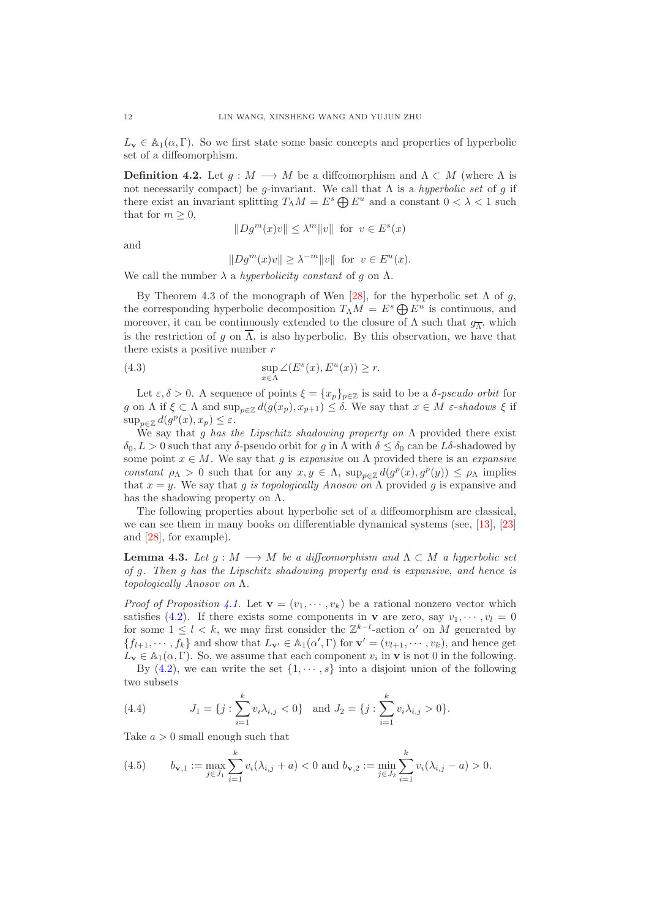$L_v \in \mathbb{A}_1(\alpha, \Gamma)$ . So we first state some basic concepts and properties of hyperbolic set of a diffeomorphism.

**Definition 4.2.** Let  $g : M \longrightarrow M$  be a diffeomorphism and  $\Lambda \subset M$  (where  $\Lambda$  is not necessarily compact) be g-invariant. We call that  $\Lambda$  is a *hyperbolic set* of g if there exist an invariant splitting  $T_\Lambda M = E^s \bigoplus E^u$  and a constant  $0 < \lambda < 1$  such that for  $m \geq 0$ ,

$$
||Dg^m(x)v|| \le \lambda^m ||v|| \text{ for } v \in E^s(x)
$$

and

<span id="page-11-1"></span>
$$
||Dgm(x)v|| \ge \lambda^{-m}||v|| \text{ for } v \in Eu(x).
$$

We call the number  $\lambda$  a hyperbolicity constant of g on  $\Lambda$ .

By Theorem 4.3 of the monograph of Wen [\[28\]](#page-24-5), for the hyperbolic set  $\Lambda$  of q, the corresponding hyperbolic decomposition  $T_{\Lambda}M = E^s \bigoplus E^u$  is continuous, and moreover, it can be continuously extended to the closure of  $\Lambda$  such that  $g_{\overline{\Lambda}}$ , which is the restriction of g on  $\overline{\Lambda}$ , is also hyperbolic. By this observation, we have that there exists a positive number  $r$ 

(4.3) 
$$
\sup_{x \in \Lambda} \angle (E^s(x), E^u(x)) \ge r.
$$

Let  $\varepsilon, \delta > 0$ . A sequence of points  $\xi = \{x_p\}_{p \in \mathbb{Z}}$  is said to be a  $\delta$ -pseudo orbit for g on  $\Lambda$  if  $\xi \subset \Lambda$  and  $\sup_{p\in \mathbb{Z}} d(g(x_p), x_{p+1}) \leq \delta$ . We say that  $x \in M$   $\varepsilon$ -shadows  $\xi$  if  $\sup_{p\in\mathbb{Z}}d(g^p(x),x_p)\leq\varepsilon.$ 

We say that g has the Lipschitz shadowing property on  $\Lambda$  provided there exist  $\delta_0, L > 0$  such that any δ-pseudo orbit for g in  $\Lambda$  with  $\delta \leq \delta_0$  can be L $\delta$ -shadowed by some point  $x \in M$ . We say that g is expansive on  $\Lambda$  provided there is an expansive constant  $\rho_{\Lambda} > 0$  such that for any  $x, y \in \Lambda$ ,  $\sup_{p \in \mathbb{Z}} d(g^p(x), g^p(y)) \leq \rho_{\Lambda}$  implies that  $x = y$ . We say that g is topologically Anosov on  $\Lambda$  provided g is expansive and has the shadowing property on  $\Lambda$ .

The following properties about hyperbolic set of a diffeomorphism are classical, we can see them in many books on differentiable dynamical systems (see, [\[13\]](#page-23-15), [\[23\]](#page-24-0) and [\[28\]](#page-24-5), for example).

<span id="page-11-0"></span>**Lemma 4.3.** Let  $g : M \longrightarrow M$  be a diffeomorphism and  $\Lambda \subset M$  a hyperbolic set of g. Then g has the Lipschitz shadowing property and is expansive, and hence is topologically Anosov on Λ.

*Proof of Proposition [4.1.](#page-10-1)* Let  $\mathbf{v} = (v_1, \dots, v_k)$  be a rational nonzero vector which satisfies [\(4.2\)](#page-10-0). If there exists some components in **v** are zero, say  $v_1, \dots, v_l = 0$ for some  $1 \leq l < k$ , we may first consider the  $\mathbb{Z}^{k-l}$ -action  $\alpha'$  on M generated by  $\{f_{l+1}, \dots, f_k\}$  and show that  $L_{\mathbf{v}'} \in \mathbb{A}_1(\alpha', \Gamma)$  for  $\mathbf{v}' = (v_{l+1}, \dots, v_k)$ , and hence get  $\tilde{L}_{\mathbf{v}} \in \mathbb{A}_1(\alpha, \Gamma)$ . So, we assume that each component  $v_i$  in  $\mathbf{v}$  is not 0 in the following. By  $(4.2)$ , we can write the set  $\{1, \dots, s\}$  into a disjoint union of the following two subsets

<span id="page-11-2"></span>(4.4) 
$$
J_1 = \{j : \sum_{i=1}^k v_i \lambda_{i,j} < 0\} \text{ and } J_2 = \{j : \sum_{i=1}^k v_i \lambda_{i,j} > 0\}.
$$

Take  $a > 0$  small enough such that

<span id="page-11-3"></span>(4.5) 
$$
b_{\mathbf{v},1} := \max_{j \in J_1} \sum_{i=1}^k v_i(\lambda_{i,j} + a) < 0 \text{ and } b_{\mathbf{v},2} := \min_{j \in J_2} \sum_{i=1}^k v_i(\lambda_{i,j} - a) > 0.
$$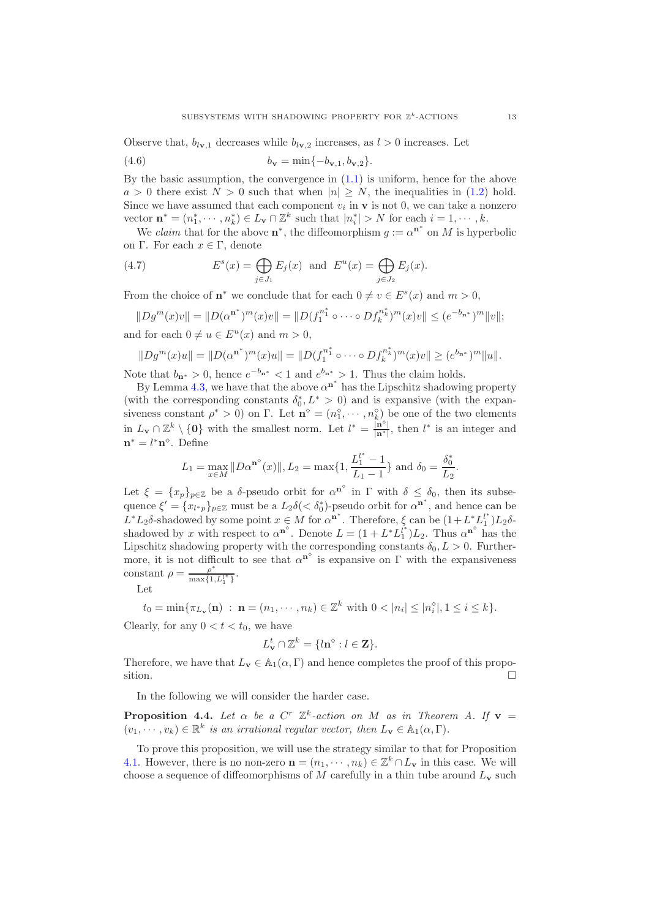Observe that,  $b_{l_{\mathbf{V}},1}$  decreases while  $b_{l_{\mathbf{V}},2}$  increases, as  $l > 0$  increases. Let

<span id="page-12-1"></span>(4.6) 
$$
b_{\mathbf{v}} = \min\{-b_{\mathbf{v},1}, b_{\mathbf{v},2}\}.
$$

By the basic assumption, the convergence in  $(1.1)$  is uniform, hence for the above  $a > 0$  there exist  $N > 0$  such that when  $|n| > N$ , the inequalities in [\(1.2\)](#page-2-0) hold. Since we have assumed that each component  $v_i$  in  $\bf{v}$  is not 0, we can take a nonzero vector  $\mathbf{n}^* = (n_1^*, \dots, n_k^*) \in L_\mathbf{v} \cap \mathbb{Z}^k$  such that  $|n_i^*| > N$  for each  $i = 1, \dots, k$ .

We claim that for the above  $\mathbf{n}^*$ , the diffeomorphism  $g := \alpha^{\mathbf{n}^*}$  on M is hyperbolic on Γ. For each  $x \in Γ$ , denote

<span id="page-12-2"></span>(4.7) 
$$
E^{s}(x) = \bigoplus_{j \in J_{1}} E_{j}(x) \text{ and } E^{u}(x) = \bigoplus_{j \in J_{2}} E_{j}(x).
$$

From the choice of  $\mathbf{n}^*$  we conclude that for each  $0 \neq v \in E^s(x)$  and  $m > 0$ ,

$$
||Dg^{m}(x)v|| = ||D(\alpha^{n^{*}})^{m}(x)v|| = ||D(f_{1}^{n^{*}} \circ \cdots \circ Df_{k}^{n^{*}})^{m}(x)v|| \leq (e^{-b_{n^{*}}})^{m}||v||;
$$
  
and for each  $0 \neq u \in E^{u}(x)$  and  $m > 0$ ,

$$
||Dg^m(x)u|| = ||D(\alpha^{n^*})^m(x)u|| = ||D(f_1^{n_1^*} \circ \cdots \circ Df_k^{n_k^*})^m(x)v|| \geq (e^{b_{n^*}})^m ||u||.
$$

Note that  $b_{n^*} > 0$ , hence  $e^{-b_{n^*}} < 1$  and  $e^{b_{n^*}} > 1$ . Thus the claim holds.

By Lemma [4.3,](#page-11-0) we have that the above  $\alpha^{n^*}$  has the Lipschitz shadowing property (with the corresponding constants  $\delta_0^*, L^* > 0$ ) and is expansive (with the expansiveness constant  $\rho^* > 0$  on  $\Gamma$ . Let  $\mathbf{n}^{\circ} = (n_1^{\circ}, \cdots, n_k^{\circ})$  be one of the two elements in  $L_v \cap \mathbb{Z}^k \setminus \{0\}$  with the smallest norm. Let  $l^* = \frac{|\mathbf{n}^{\diamond}|}{|\mathbf{n}^*|}$ , then  $l^*$  is an integer and  $\mathbf{n}^* = l^* \mathbf{n}^\diamond$ . Define

$$
L_1 = \max_{x \in M} \|D\alpha^{n^{\diamond}}(x)\|, L_2 = \max\{1, \frac{L_1^{l^*} - 1}{L_1 - 1}\} \text{ and } \delta_0 = \frac{\delta_0^*}{L_2}.
$$

Let  $\xi = \{x_p\}_{p\in\mathbb{Z}}$  be a δ-pseudo orbit for  $\alpha^{n^{\circ}}$  in  $\Gamma$  with  $\delta \leq \delta_0$ , then its subsequence  $\xi' = \{x_{l^*p}\}_{p \in \mathbb{Z}}$  must be a  $L_2\delta(<\delta_0^*)$ -pseudo orbit for  $\alpha^{n^*}$ , and hence can be  $L^*L_2\delta$ -shadowed by some point  $x \in M$  for  $\alpha^{n^*}$ . Therefore,  $\xi$  can be  $(1+L^*L_1^{l^*})$  $_{1}^{l^{\ast}})L_{2}\delta$ shadowed by x with respect to  $\alpha^{n^{\circ}}$ . Denote  $L = (1 + L^* L_1^{i^*})$  $\mu_1^*$ ) $L_2$ . Thus  $\alpha^{n^{\diamond}}$  has the Lipschitz shadowing property with the corresponding constants  $\delta_0, L > 0$ . Furthermore, it is not difficult to see that  $\alpha^{n^{\circ}}$  is expansive on  $\Gamma$  with the expansiveness constant  $\rho = \frac{\rho^*}{\max\{1, L_1^{l*}\}}$ .

Let

 $t_0 = \min\{\pi_{L_v}(\mathbf{n}) : \mathbf{n} = (n_1, \dots, n_k) \in \mathbb{Z}^k \text{ with } 0 < |n_i| \leq |n_i^{\diamond}|, 1 \leq i \leq k\}.$ 

Clearly, for any  $0 < t < t_0$ , we have

$$
L_{\mathbf{v}}^{t} \cap \mathbb{Z}^{k} = \{l\mathbf{n}^{\diamond} : l \in \mathbf{Z}\}.
$$

Therefore, we have that  $L_v \in \mathbb{A}_1(\alpha, \Gamma)$  and hence completes the proof of this proposition. sition.

In the following we will consider the harder case.

<span id="page-12-0"></span>**Proposition 4.4.** Let  $\alpha$  be a  $C^r$   $\mathbb{Z}^k$ -action on M as in Theorem A. If  $\mathbf{v} =$  $(v_1, \dots, v_k) \in \mathbb{R}^k$  is an irrational regular vector, then  $L_{\mathbf{v}} \in \mathbb{A}_1(\alpha, \Gamma)$ .

To prove this proposition, we will use the strategy similar to that for Proposition [4.1.](#page-10-1) However, there is no non-zero  $\mathbf{n} = (n_1, \dots, n_k) \in \mathbb{Z}^k \cap L_{\mathbf{v}}$  in this case. We will choose a sequence of diffeomorphisms of  $M$  carefully in a thin tube around  $L_{\mathbf{v}}$  such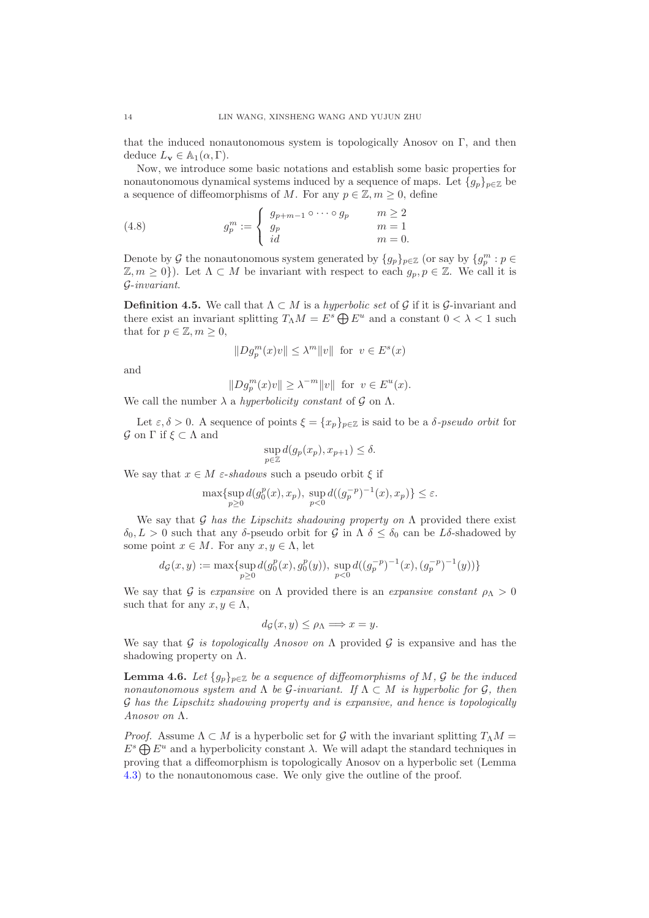that the induced nonautonomous system is topologically Anosov on  $\Gamma$ , and then deduce  $L_{\mathbf{v}} \in \mathbb{A}_1(\alpha, \Gamma)$ .

Now, we introduce some basic notations and establish some basic properties for nonautonomous dynamical systems induced by a sequence of maps. Let  ${g_p}_{p \in \mathbb{Z}}$  be a sequence of diffeomorphisms of M. For any  $p \in \mathbb{Z}, m \geq 0$ , define

<span id="page-13-0"></span>(4.8) 
$$
g_p^m := \begin{cases} g_{p+m-1} \circ \cdots \circ g_p & m \ge 2 \\ g_p & m = 1 \\ id & m = 0. \end{cases}
$$

Denote by  $\mathcal G$  the nonautonomous system generated by  $\{g_p\}_{p\in\mathbb Z}$  (or say by  $\{g_p^m:p\in\mathbb Z\}$ )  $\mathbb{Z}, m \geq 0$ ). Let  $\Lambda \subset M$  be invariant with respect to each  $g_p, p \in \mathbb{Z}$ . We call it is G-invariant.

**Definition 4.5.** We call that  $\Lambda \subset M$  is a *hyperbolic set* of G if it is G-invariant and there exist an invariant splitting  $T_\Lambda M = E^s \bigoplus E^u$  and a constant  $0 < \lambda < 1$  such that for  $p \in \mathbb{Z}, m \geq 0$ ,

$$
||Dg_p^m(x)v|| \le \lambda^m ||v|| \text{ for } v \in E^s(x)
$$

and

$$
||Dg_p^m(x)v|| \ge \lambda^{-m} ||v|| \text{ for } v \in E^u(x).
$$

We call the number  $\lambda$  a hyperbolicity constant of  $\mathcal G$  on  $\Lambda$ .

Let  $\varepsilon, \delta > 0$ . A sequence of points  $\xi = \{x_p\}_{p \in \mathbb{Z}}$  is said to be a  $\delta$ -pseudo orbit for  $\mathcal G$  on Γ if  $\xi \subset \Lambda$  and

$$
\sup_{p \in \mathbb{Z}} d(g_p(x_p), x_{p+1}) \le \delta.
$$

We say that  $x \in M$  *ε-shadows* such a pseudo orbit  $\xi$  if

$$
\max \{ \sup_{p \ge 0} d(g_0^p(x), x_p), \sup_{p < 0} d((g_p^{-p})^{-1}(x), x_p) \} \le \varepsilon.
$$

We say that G has the Lipschitz shadowing property on  $\Lambda$  provided there exist  $\delta_0, L > 0$  such that any δ-pseudo orbit for G in  $\Lambda$   $\delta \leq \delta_0$  can be  $L\delta$ -shadowed by some point  $x \in M$ . For any  $x, y \in \Lambda$ , let

$$
d_{\mathcal{G}}(x,y) := \max \{ \sup_{p \ge 0} d(g_0^p(x), g_0^p(y)), \sup_{p < 0} d((g_p^{-p})^{-1}(x), (g_p^{-p})^{-1}(y)) \}
$$

We say that G is expansive on  $\Lambda$  provided there is an expansive constant  $\rho_{\Lambda} > 0$ such that for any  $x, y \in \Lambda$ ,

$$
d_{\mathcal{G}}(x,y) \leq \rho_{\Lambda} \Longrightarrow x = y.
$$

We say that G is topologically Anosov on  $\Lambda$  provided G is expansive and has the shadowing property on  $\Lambda$ .

<span id="page-13-1"></span>**Lemma 4.6.** Let  $\{g_p\}_{p\in\mathbb{Z}}$  be a sequence of diffeomorphisms of M, G be the induced nonautonomous system and  $\Lambda$  be  $\mathcal{G}\text{-}invariant$ . If  $\Lambda \subset M$  is hyperbolic for  $\mathcal{G}$ , then G has the Lipschitz shadowing property and is expansive, and hence is topologically Anosov on Λ.

*Proof.* Assume  $\Lambda \subset M$  is a hyperbolic set for G with the invariant splitting  $T_{\Lambda}M =$  $E^s \bigoplus E^u$  and a hyperbolicity constant  $\lambda$ . We will adapt the standard techniques in proving that a diffeomorphism is topologically Anosov on a hyperbolic set (Lemma [4.3\)](#page-11-0) to the nonautonomous case. We only give the outline of the proof.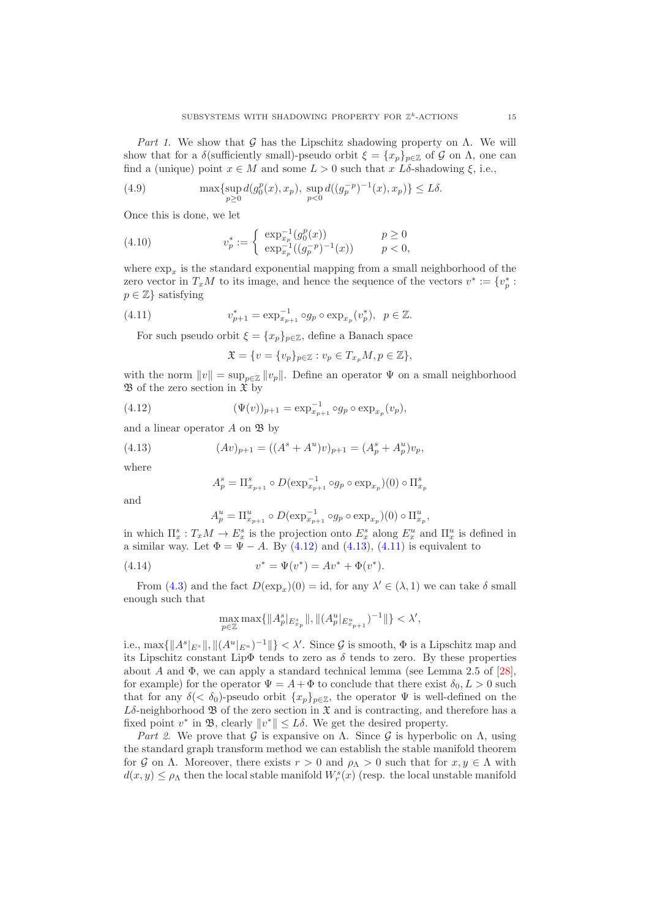Part 1. We show that G has the Lipschitz shadowing property on  $\Lambda$ . We will show that for a  $\delta$ (sufficiently small)-pseudo orbit  $\xi = \{x_p\}_{p \in \mathbb{Z}}$  of G on  $\Lambda$ , one can find a (unique) point  $x \in M$  and some  $L > 0$  such that x  $L\delta$ -shadowing  $\xi$ , i.e.,

(4.9) 
$$
\max \{ \sup_{p \ge 0} d(g_0^p(x), x_p), \sup_{p < 0} d((g_p^{-p})^{-1}(x), x_p) \} \le L\delta.
$$

Once this is done, we let

(4.10) 
$$
v_p^* := \begin{cases} \exp_{x_p}^{-1}(g_0^p(x)) & p \ge 0\\ \exp_{x_p}^{-1}((g_p^{-p})^{-1}(x)) & p < 0, \end{cases}
$$

where  $\exp_x$  is the standard exponential mapping from a small neighborhood of the zero vector in  $T_xM$  to its image, and hence the sequence of the vectors  $v^* := \{v_p^* : p^*v_p : p^*v_p : p^*v_p\}$  $p \in \mathbb{Z}$  satisfying

(4.11) 
$$
v_{p+1}^{*} = \exp_{x_{p+1}}^{-1} \circ g_{p} \circ \exp_{x_{p}}(v_{p}^{*}), \ \ p \in \mathbb{Z}.
$$

For such pseudo orbit  $\xi = \{x_p\}_{p \in \mathbb{Z}}$ , define a Banach space

<span id="page-14-2"></span><span id="page-14-0"></span>
$$
\mathfrak{X} = \{ v = \{ v_p \}_{p \in \mathbb{Z}} : v_p \in T_{x_p} M, p \in \mathbb{Z} \},\
$$

with the norm  $||v|| = \sup_{n \in \mathbb{Z}} ||v_n||$ . Define an operator  $\Psi$  on a small neighborhood  $\mathfrak B$  of the zero section in  $\hat{\mathfrak X}$  by

(4.12) 
$$
(\Psi(v))_{p+1} = \exp_{x_{p+1}}^{-1} \circ g_p \circ \exp_{x_p}(v_p),
$$

and a linear operator  $A$  on  $\mathfrak{B}$  by

(4.13) 
$$
(Av)_{p+1} = ((A^s + A^u)v)_{p+1} = (A_p^s + A_p^u)v_p,
$$

where

<span id="page-14-1"></span>
$$
A_p^s = \Pi_{x_{p+1}}^s \circ D(\exp_{x_{p+1}}^{-1} \circ g_p \circ \exp_{x_p})(0) \circ \Pi_{x_p}^s
$$

and

$$
A_p^u = \Pi_{x_{p+1}}^u \circ D(\exp_{x_{p+1}}^{-1} \circ g_p \circ \exp_{x_p})(0) \circ \Pi_{x_p}^u,
$$

in which  $\Pi_x^s: T_xM \to E_x^s$  is the projection onto  $E_x^s$  along  $E_x^u$  and  $\Pi_x^u$  is defined in a similar way. Let  $\Phi = \Psi - A$ . By [\(4.12\)](#page-14-0) and [\(4.13\)](#page-14-1), [\(4.11\)](#page-14-2) is equivalent to

(4.14) 
$$
v^* = \Psi(v^*) = Av^* + \Phi(v^*).
$$

From [\(4.3\)](#page-11-1) and the fact  $D(\exp_x)(0) = id$ , for any  $\lambda' \in (\lambda, 1)$  we can take  $\delta$  small enough such that

$$
\max_{p\in\mathbb{Z}}\max\{\|A_p^s|_{E_{x_p}^s}\|,\|(A_p^u|_{E_{x_{p+1}^u}})^{-1}\|\}<\lambda',
$$

i.e.,  $\max\{\|A^s|_{E^s}\|, \|(A^u|_{E^u})^{-1}\|\} < \lambda'$ . Since G is smooth,  $\Phi$  is a Lipschitz map and its Lipschitz constant Lip $\Phi$  tends to zero as  $\delta$  tends to zero. By these properties about A and  $\Phi$ , we can apply a standard technical lemma (see Lemma 2.5 of [\[28\]](#page-24-5), for example) for the operator  $\Psi = A + \Phi$  to conclude that there exist  $\delta_0, L > 0$  such that for any  $\delta(<\delta_0)$ -pseudo orbit  $\{x_p\}_{p\in\mathbb{Z}}$ , the operator  $\Psi$  is well-defined on the  $L\delta$ -neighborhood  $\mathfrak B$  of the zero section in  $\mathfrak X$  and is contracting, and therefore has a fixed point  $v^*$  in  $\mathfrak{B}$ , clearly  $||v^*|| \leq L\delta$ . We get the desired property.

Part 2. We prove that G is expansive on  $\Lambda$ . Since G is hyperbolic on  $\Lambda$ , using the standard graph transform method we can establish the stable manifold theorem for G on  $\Lambda$ . Moreover, there exists  $r > 0$  and  $\rho_{\Lambda} > 0$  such that for  $x, y \in \Lambda$  with  $d(x, y) \leq \rho_{\Lambda}$  then the local stable manifold  $W_r^s(x)$  (resp. the local unstable manifold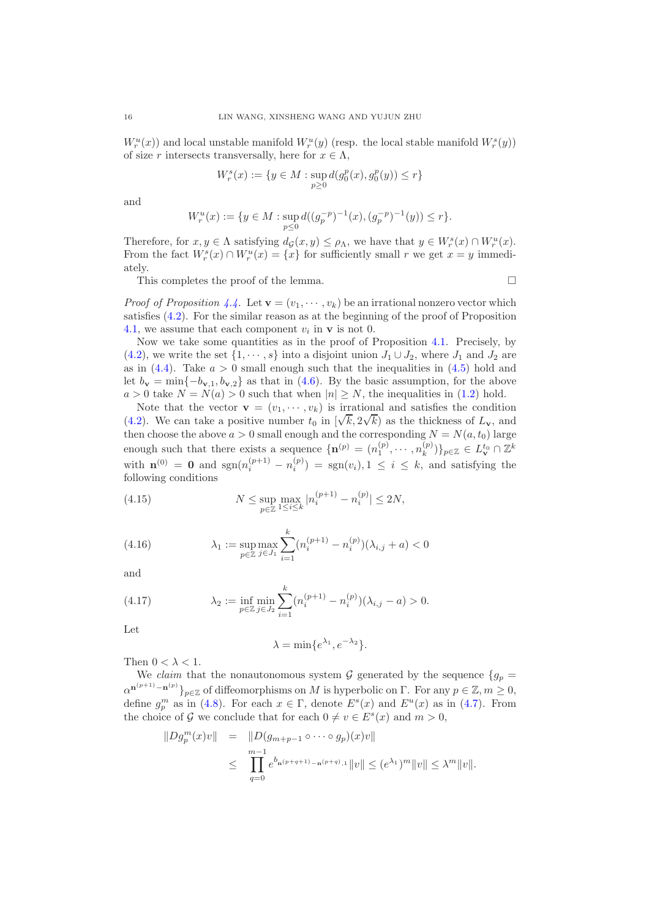$W_r^u(x)$  and local unstable manifold  $W_r^u(y)$  (resp. the local stable manifold  $W_r^s(y)$ ) of size r intersects transversally, here for  $x \in \Lambda$ ,

$$
W^s_r(x):=\{y\in M: \sup_{p\geq 0} d(g^p_0(x),g^p_0(y))\leq r\}
$$

and

$$
W_r^u(x) := \{ y \in M : \sup_{p \le 0} d((g_p^{-p})^{-1}(x), (g_p^{-p})^{-1}(y)) \le r \}.
$$

Therefore, for  $x, y \in \Lambda$  satisfying  $d_{\mathcal{G}}(x, y) \leq \rho_{\Lambda}$ , we have that  $y \in W_r^s(x) \cap W_r^u(x)$ . From the fact  $W_r^s(x) \cap W_r^u(x) = \{x\}$  for sufficiently small r we get  $x = y$  immediately.

This completes the proof of the lemma.

*Proof of Proposition [4.4.](#page-12-0)* Let  $\mathbf{v} = (v_1, \dots, v_k)$  be an irrational nonzero vector which satisfies [\(4.2\)](#page-10-0). For the similar reason as at the beginning of the proof of Proposition [4.1,](#page-10-1) we assume that each component  $v_i$  in  $\bf{v}$  is not 0.

Now we take some quantities as in the proof of Proposition [4.1.](#page-10-1) Precisely, by [\(4.2\)](#page-10-0), we write the set  $\{1, \dots, s\}$  into a disjoint union  $J_1 \cup J_2$ , where  $J_1$  and  $J_2$  are as in  $(4.4)$ . Take  $a > 0$  small enough such that the inequalities in  $(4.5)$  hold and let  $b_{\mathbf{v}} = \min\{-b_{\mathbf{v},1}, b_{\mathbf{v},2}\}\$ as that in [\(4.6\)](#page-12-1). By the basic assumption, for the above  $a > 0$  take  $N = N(a) > 0$  such that when  $|n| \geq N$ , the inequalities in [\(1.2\)](#page-2-0) hold.

Note that the vector  $\mathbf{v} = (v_1, \dots, v_k)$  is irrational and satisfies the condition [\(4.2\)](#page-10-0). We can take a positive number  $t_0$  in  $[\sqrt{k}, 2\sqrt{k}]$  as the thickness of  $L_v$ , and then choose the above  $a > 0$  small enough and the corresponding  $N = N(a, t_0)$  large enough such that there exists a sequence  $\{\mathbf{n}^{(p)} = (n_1^{(p)}, \dots, n_k^{(p)})\}$  $\{L_k^{(p)})\}_{p\in\mathbb{Z}}\in L_{\mathbf{v}}^{t_0}\cap\mathbb{Z}^k$ with  $\mathbf{n}^{(0)} = \mathbf{0}$  and  $\text{sgn}(n_i^{(p+1)} - n_i^{(p)}) = \text{sgn}(v_i), 1 \leq i \leq k$ , and satisfying the following conditions

<span id="page-15-0"></span>(4.15) 
$$
N \leq \sup_{p \in \mathbb{Z}} \max_{1 \leq i \leq k} |n_i^{(p+1)} - n_i^{(p)}| \leq 2N,
$$

<span id="page-15-1"></span>(4.16) 
$$
\lambda_1 := \sup_{p \in \mathbb{Z}} \max_{j \in J_1} \sum_{i=1}^k (n_i^{(p+1)} - n_i^{(p)})(\lambda_{i,j} + a) < 0
$$

and

(4.17) 
$$
\lambda_2 := \inf_{p \in \mathbb{Z}} \min_{j \in J_2} \sum_{i=1}^k (n_i^{(p+1)} - n_i^{(p)})(\lambda_{i,j} - a) > 0.
$$

Let

<span id="page-15-2"></span>
$$
\lambda = \min\{e^{\lambda_1}, e^{-\lambda_2}\}.
$$

Then  $0 < \lambda < 1$ .

We claim that the nonautonomous system  $\mathcal G$  generated by the sequence  $\{g_p =$  $\alpha^{n^{(p+1)}-n^{(p)}}\}_{p\in\mathbb{Z}}$  of diffeomorphisms on M is hyperbolic on  $\Gamma$ . For any  $p\in\mathbb{Z}, m\geq 0$ , define  $g_p^m$  as in [\(4.8\)](#page-13-0). For each  $x \in \Gamma$ , denote  $E^s(x)$  and  $E^u(x)$  as in [\(4.7\)](#page-12-2). From the choice of  $\mathcal G$  we conclude that for each  $0 \neq v \in E^s(x)$  and  $m > 0$ ,

$$
\|Dg_p^m(x)v\| = \|D(g_{m+p-1} \circ \cdots \circ g_p)(x)v\|
$$
  

$$
\leq \prod_{q=0}^{m-1} e^{b_{n(p+q+1)}-n(p+q)} \|v\| \leq (e^{\lambda_1})^m \|v\| \leq \lambda^m \|v\|.
$$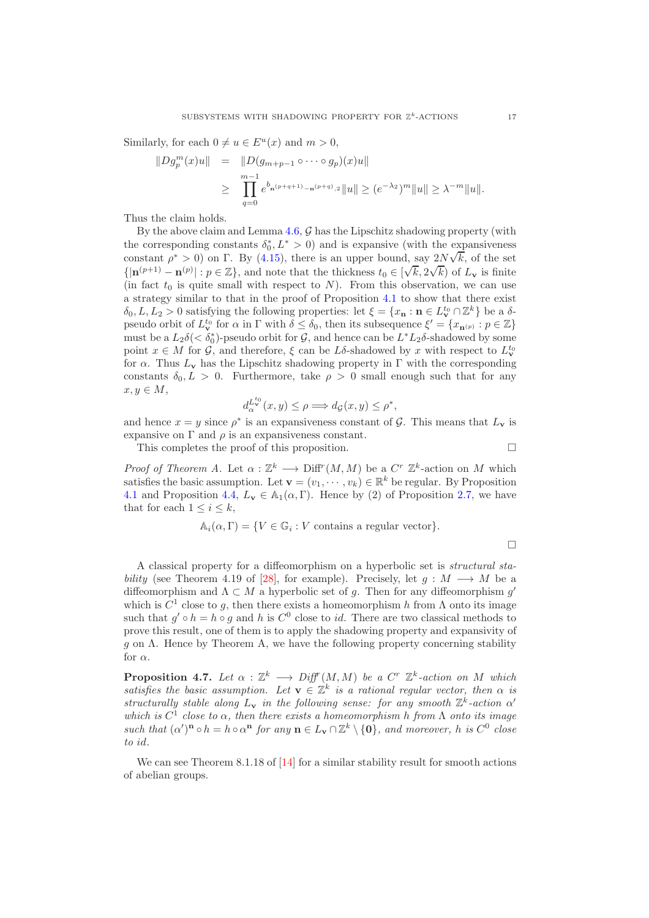Similarly, for each  $0 \neq u \in E^u(x)$  and  $m > 0$ ,

$$
||Dg_p^m(x)u|| = ||D(g_{m+p-1} \circ \cdots \circ g_p)(x)u||
$$
  
\n
$$
\geq \prod_{q=0}^{m-1} e^{b_{n(p+q+1)}-n^{(p+q)},2} ||u|| \geq (e^{-\lambda_2})^m ||u|| \geq \lambda^{-m} ||u||.
$$

Thus the claim holds.

By the above claim and Lemma  $4.6$ ,  $G$  has the Lipschitz shadowing property (with the corresponding constants  $\delta_0^*, L^* > 0$  and is expansive (with the expansiveness constant  $\rho^* > 0$ ) on Γ. By [\(4.15\)](#page-15-0), there is an upper bound, say  $2N\sqrt{k}$ , of the set  $\{|\mathbf{n}^{(p+1)} - \mathbf{n}^{(p)}| : p \in \mathbb{Z}\}\$ , and note that the thickness  $t_0 \in [\sqrt{k}, 2\sqrt{k}]$  of  $L_{\mathbf{v}}$  is finite (in fact  $t_0$  is quite small with respect to N). From this observation, we can use a strategy similar to that in the proof of Proposition [4.1](#page-10-1) to show that there exist  $\delta_0, L, L_2 > 0$  satisfying the following properties: let  $\xi = \{x_n : n \in L^{t_0}_{\mathbf{v}} \cap \mathbb{Z}^k\}$  be a  $\delta$ pseudo orbit of  $L^{t_0}_{\mathbf{v}}$  for  $\alpha$  in  $\Gamma$  with  $\delta \leq \delta_0$ , then its subsequence  $\xi' = \{x_{\mathbf{n}^{(p)}} : p \in \mathbb{Z}\}\$ must be a  $L_2\delta(<\delta_0^*)$ -pseudo orbit for G, and hence can be  $L^*L_2\delta$ -shadowed by some point  $x \in M$  for  $\mathcal{G}$ , and therefore,  $\xi$  can be  $L\delta$ -shadowed by x with respect to  $L^{t_0}_{\mathbf{v}}$ for  $\alpha$ . Thus  $L_{\mathbf{v}}$  has the Lipschitz shadowing property in  $\Gamma$  with the corresponding constants  $\delta_0, L > 0$ . Furthermore, take  $\rho > 0$  small enough such that for any  $x, y \in M$ ,

$$
d_{\alpha}^{L_{\mathbf{v}}^{t_0}}(x,y) \le \rho \Longrightarrow d_{\mathcal{G}}(x,y) \le \rho^*,
$$

and hence  $x = y$  since  $\rho^*$  is an expansiveness constant of  $\mathcal{G}$ . This means that  $L_{\mathbf{v}}$  is expansive on  $\Gamma$  and  $\rho$  is an expansiveness constant.

This completes the proof of this proposition.  $\Box$ 

Proof of Theorem A. Let  $\alpha : \mathbb{Z}^k \longrightarrow \text{Diff}^r(M,M)$  be a  $C^r \mathbb{Z}^k$ -action on M which satisfies the basic assumption. Let  $\mathbf{v} = (v_1, \dots, v_k) \in \mathbb{R}^k$  be regular. By Proposition [4.1](#page-10-1) and Proposition [4.4,](#page-12-0)  $L_v \in \mathbb{A}_1(\alpha, \Gamma)$ . Hence by (2) of Proposition [2.7,](#page-6-0) we have that for each  $1 \leq i \leq k$ ,

$$
\mathbb{A}_i(\alpha, \Gamma) = \{ V \in \mathbb{G}_i : V \text{ contains a regular vector} \}.
$$

 $\Box$ 

A classical property for a diffeomorphism on a hyperbolic set is structural sta-bility (see Theorem 4.19 of [\[28\]](#page-24-5), for example). Precisely, let  $q : M \longrightarrow M$  be a diffeomorphism and  $\Lambda \subset M$  a hyperbolic set of g. Then for any diffeomorphism g' which is  $C^1$  close to g, then there exists a homeomorphism h from  $\Lambda$  onto its image such that  $g' \circ h = h \circ g$  and h is  $C^0$  close to *id*. There are two classical methods to prove this result, one of them is to apply the shadowing property and expansivity of g on  $\Lambda$ . Hence by Theorem A, we have the following property concerning stability for  $\alpha$ .

**Proposition 4.7.** Let  $\alpha : \mathbb{Z}^k \longrightarrow \text{Diff}^r(M,M)$  be a  $C^r \mathbb{Z}^k$ -action on M which satisfies the basic assumption. Let  $\mathbf{v} \in \mathbb{Z}^k$  is a rational regular vector, then  $\alpha$  is structurally stable along  $L_v$  in the following sense: for any smooth  $\mathbb{Z}^k$ -action  $\alpha'$ which is  $C^1$  close to  $\alpha$ , then there exists a homeomorphism h from  $\Lambda$  onto its image such that  $(\alpha')^n \circ h = h \circ \alpha^n$  for any  $n \in L_v \cap \mathbb{Z}^k \setminus \{0\}$ , and moreover, h is  $C^0$  close to id.

We can see Theorem 8.1.18 of [\[14\]](#page-23-16) for a similar stability result for smooth actions of abelian groups.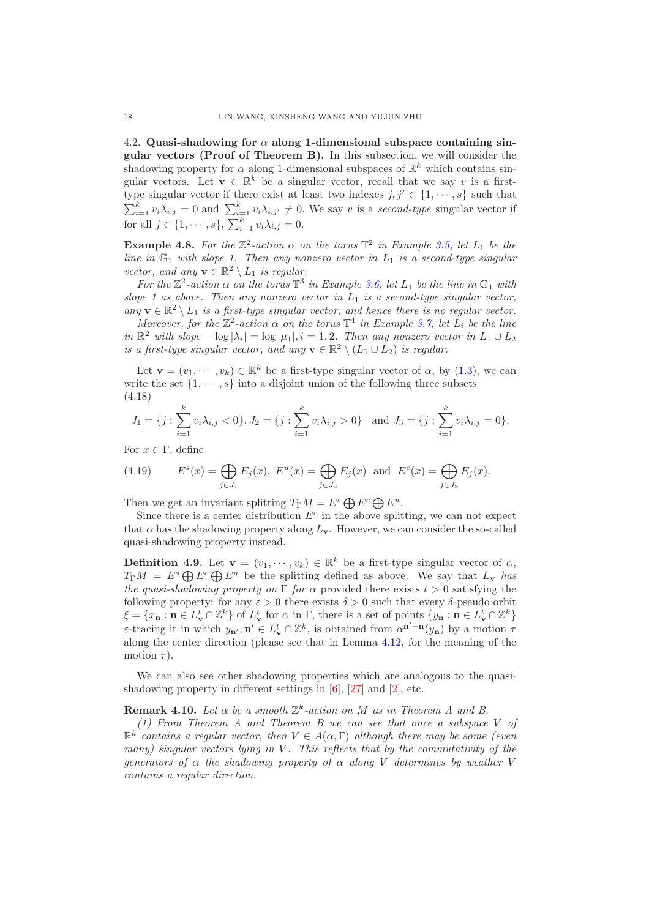4.2. Quasi-shadowing for  $\alpha$  along 1-dimensional subspace containing singular vectors (Proof of Theorem B). In this subsection, we will consider the shadowing property for  $\alpha$  along 1-dimensional subspaces of  $\mathbb{R}^k$  which contains singular vectors. Let  $\mathbf{v} \in \mathbb{R}^k$  be a singular vector, recall that we say v is a firsttype singular vector if there exist at least two indexes  $j, j' \in \{1, \dots, s\}$  such that  $\sum_{i=1}^k v_i \lambda_{i,j} = 0$  and  $\sum_{i=1}^k v_i \lambda_{i,j'} \neq 0$ . We say v is a second-type singular vector if for all  $j \in \{1, \dots, s\}, \sum_{i=1}^k v_i \lambda_{i,j} = 0.$ 

**Example 4.8.** For the  $\mathbb{Z}^2$ -action  $\alpha$  on the torus  $\mathbb{T}^2$  in Example [3.5,](#page-8-0) let  $L_1$  be the line in  $\mathbb{G}_1$  with slope 1. Then any nonzero vector in  $L_1$  is a second-type singular vector, and any  $\mathbf{v} \in \mathbb{R}^2 \setminus L_1$  is regular.

For the  $\mathbb{Z}^2$ -action  $\alpha$  on the torus  $\mathbb{T}^3$  in Example [3.6,](#page-9-0) let  $L_1$  be the line in  $\mathbb{G}_1$  with slope 1 as above. Then any nonzero vector in  $L_1$  is a second-type singular vector, any  $\mathbf{v} \in \mathbb{R}^2 \setminus L_1$  is a first-type singular vector, and hence there is no regular vector.

Moreover, for the  $\mathbb{Z}^2$ -action  $\alpha$  on the torus  $\mathbb{T}^4$  in Example [3.7,](#page-9-1) let  $L_i$  be the line in  $\mathbb{R}^2$  with slope  $-\log|\lambda_i| = \log|\mu_1|, i = 1, 2$ . Then any nonzero vector in  $L_1 \cup L_2$ is a first-type singular vector, and any  $\mathbf{v} \in \mathbb{R}^2 \setminus (L_1 \cup L_2)$  is regular.

Let  $\mathbf{v} = (v_1, \dots, v_k) \in \mathbb{R}^k$  be a first-type singular vector of  $\alpha$ , by [\(1.3\)](#page-2-1), we can write the set  $\{1, \dots, s\}$  into a disjoint union of the following three subsets (4.18)

<span id="page-17-1"></span>
$$
J_1 = \{j : \sum_{i=1}^k v_i \lambda_{i,j} < 0\}, J_2 = \{j : \sum_{i=1}^k v_i \lambda_{i,j} > 0\} \text{ and } J_3 = \{j : \sum_{i=1}^k v_i \lambda_{i,j} = 0\}.
$$

For  $x \in \Gamma$ , define

<span id="page-17-2"></span>(4.19) 
$$
E^s(x) = \bigoplus_{j \in J_1} E_j(x), E^u(x) = \bigoplus_{j \in J_2} E_j(x)
$$
 and  $E^c(x) = \bigoplus_{j \in J_3} E_j(x)$ .

Then we get an invariant splitting  $T_{\Gamma}M = E^s \bigoplus E^c \bigoplus E^u$ .

Since there is a center distribution  $E^c$  in the above splitting, we can not expect that  $\alpha$  has the shadowing property along  $L_v$ . However, we can consider the so-called quasi-shadowing property instead.

<span id="page-17-0"></span>**Definition 4.9.** Let  $\mathbf{v} = (v_1, \dots, v_k) \in \mathbb{R}^k$  be a first-type singular vector of  $\alpha$ ,  $T_{\Gamma}M = E^s \bigoplus E^c \bigoplus E^u$  be the splitting defined as above. We say that  $L_{\mathbf{v}}$  has the quasi-shadowing property on  $\Gamma$  for  $\alpha$  provided there exists  $t > 0$  satisfying the following property: for any  $\varepsilon > 0$  there exists  $\delta > 0$  such that every  $\delta$ -pseudo orbit  $\xi = \{x_{\mathbf{n}} : \mathbf{n} \in L^t_{\mathbf{v}} \cap \mathbb{Z}^k\}$  of  $L^t_{\mathbf{v}}$  for  $\alpha$  in  $\Gamma$ , there is a set of points  $\{y_{\mathbf{n}} : \mathbf{n} \in L^t_{\mathbf{v}} \cap \mathbb{Z}^k\}$ ε-tracing it in which  $y_{n'}$ ,  $n'$  ∈  $L^t$  ∩  $\mathbb{Z}^k$ , is obtained from  $\alpha^{n'-n}(y_n)$  by a motion  $τ$ along the center direction (please see that in Lemma [4.12,](#page-18-0) for the meaning of the motion  $\tau$ ).

We can also see other shadowing properties which are analogous to the quasishadowing property in different settings in [\[6\]](#page-23-17), [\[27\]](#page-24-6) and [\[2\]](#page-23-18), etc.

## **Remark 4.10.** Let  $\alpha$  be a smooth  $\mathbb{Z}^k$ -action on M as in Theorem A and B.

(1) From Theorem A and Theorem B we can see that once a subspace V of  $\mathbb{R}^k$  contains a regular vector, then  $V \in A(\alpha, \Gamma)$  although there may be some (even many) singular vectors lying in V. This reflects that by the commutativity of the generators of  $\alpha$  the shadowing property of  $\alpha$  along V determines by weather V contains a regular direction.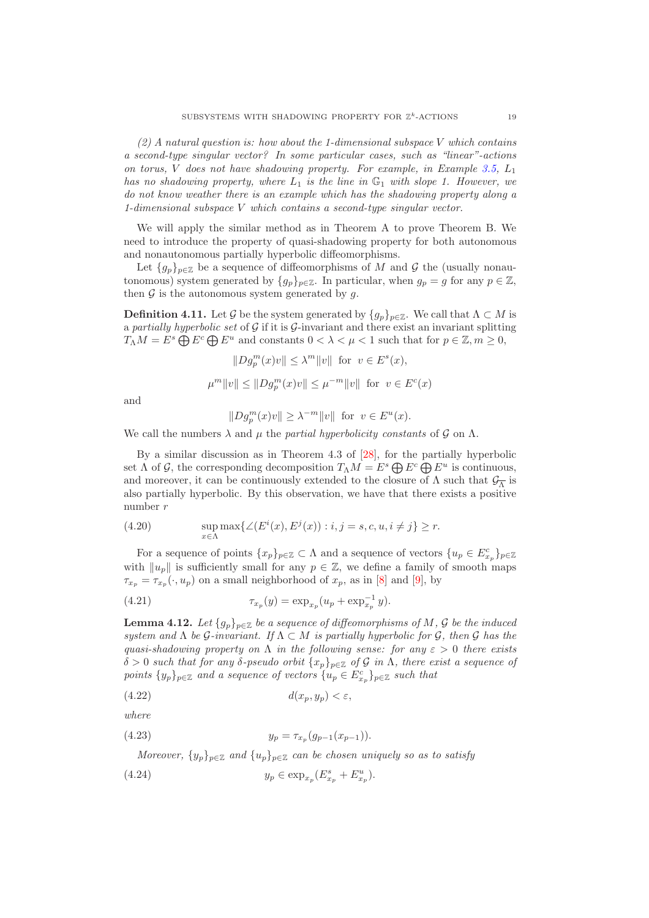$(2)$  A natural question is: how about the 1-dimensional subspace V which contains a second-type singular vector? In some particular cases, such as "linear"-actions on torus, V does not have shadowing property. For example, in Example [3.5,](#page-8-0)  $L_1$ has no shadowing property, where  $L_1$  is the line in  $\mathbb{G}_1$  with slope 1. However, we do not know weather there is an example which has the shadowing property along a 1-dimensional subspace V which contains a second-type singular vector.

We will apply the similar method as in Theorem A to prove Theorem B. We need to introduce the property of quasi-shadowing property for both autonomous and nonautonomous partially hyperbolic diffeomorphisms.

Let  ${g_p}_{p \in \mathbb{Z}}$  be a sequence of diffeomorphisms of M and G the (usually nonautonomous) system generated by  $\{g_p\}_{p\in\mathbb{Z}}$ . In particular, when  $g_p = g$  for any  $p \in \mathbb{Z}$ , then  $G$  is the autonomous system generated by  $g$ .

**Definition 4.11.** Let G be the system generated by  $\{g_p\}_{p\in\mathbb{Z}}$ . We call that  $\Lambda \subset M$  is a partially hyperbolic set of  $G$  if it is  $G$ -invariant and there exist an invariant splitting  $T_\Lambda M = E^s \bigoplus E^c \bigoplus E^u$  and constants  $0 < \lambda < \mu < 1$  such that for  $p \in \mathbb{Z}, m \ge 0$ ,

$$
||Dg_p^m(x)v|| \le \lambda^m ||v|| \text{ for } v \in E^s(x),
$$
  

$$
\mu^m ||v|| \le ||Dg_p^m(x)v|| \le \mu^{-m} ||v|| \text{ for } v \in E^c(x)
$$

and

$$
||Dg_p^m(x)v|| \ge \lambda^{-m} ||v|| \text{ for } v \in E^u(x).
$$

We call the numbers  $\lambda$  and  $\mu$  the partial hyperbolicity constants of  $\mathcal G$  on  $\Lambda$ .

By a similar discussion as in Theorem 4.3 of [\[28\]](#page-24-5), for the partially hyperbolic set  $\Lambda$  of  $\mathcal{G}$ , the corresponding decomposition  $T_{\Lambda}M = E^s \bigoplus E^c \bigoplus E^u$  is continuous, and moreover, it can be continuously extended to the closure of  $\Lambda$  such that  $\mathcal{G}_{\overline{\Lambda}}$  is also partially hyperbolic. By this observation, we have that there exists a positive number r

<span id="page-18-1"></span>(4.20) 
$$
\sup_{x \in \Lambda} \max \{ \angle (E^i(x), E^j(x)) : i, j = s, c, u, i \neq j \} \geq r.
$$

For a sequence of points  $\{x_p\}_{p\in\mathbb{Z}}\subset\Lambda$  and a sequence of vectors  $\{u_p\in E^c_{x_p}\}_{p\in\mathbb{Z}}$ with  $||u_p||$  is sufficiently small for any  $p \in \mathbb{Z}$ , we define a family of smooth maps  $\tau_{x_p} = \tau_{x_p}(\cdot, u_p)$  on a small neighborhood of  $x_p$ , as in [\[8\]](#page-23-19) and [\[9\]](#page-23-12), by

<span id="page-18-5"></span>(4.21) 
$$
\tau_{x_p}(y) = \exp_{x_p}(u_p + \exp_{x_p}^{-1} y).
$$

<span id="page-18-0"></span>**Lemma 4.12.** Let  $\{g_p\}_{p\in\mathbb{Z}}$  be a sequence of diffeomorphisms of M, G be the induced system and  $\Lambda$  be  $\mathcal G$ -invariant. If  $\Lambda \subset M$  is partially hyperbolic for  $\mathcal G$ , then  $\mathcal G$  has the quasi-shadowing property on  $\Lambda$  in the following sense: for any  $\varepsilon > 0$  there exists δ > 0 such that for any δ-pseudo orbit  $\{x_p\}_{p\in\mathbb{Z}}$  of G in Λ, there exist a sequence of points  $\{y_p\}_{p\in\mathbb{Z}}$  and a sequence of vectors  $\{u_p\in E_{x_p}^c\}_{p\in\mathbb{Z}}$  such that

<span id="page-18-2"></span>
$$
(4.22) \t\t d(x_p, y_p) < \varepsilon,
$$

where

(4.23) 
$$
y_p = \tau_{x_p}(g_{p-1}(x_{p-1})).
$$

<span id="page-18-4"></span><span id="page-18-3"></span>Moreover,  $\{y_p\}_{p\in\mathbb{Z}}$  and  $\{u_p\}_{p\in\mathbb{Z}}$  can be chosen uniquely so as to satisfy

(4.24) 
$$
y_p \in \exp_{x_p}(E_{x_p}^s + E_{x_p}^u).
$$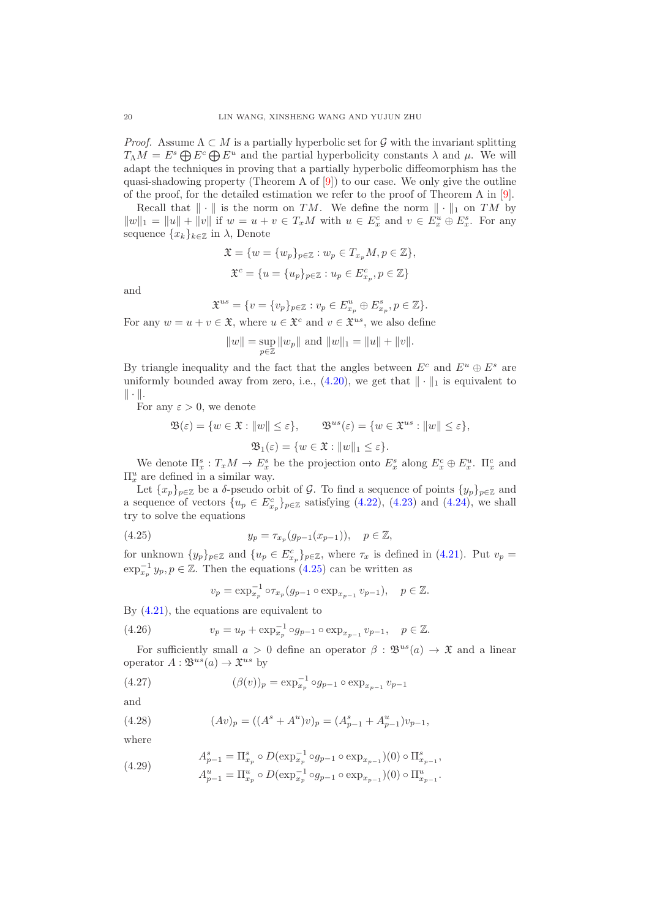*Proof.* Assume  $\Lambda \subset M$  is a partially hyperbolic set for G with the invariant splitting  $T_{\Lambda}M = E^s \bigoplus E^c \bigoplus E^u$  and the partial hyperbolicity constants  $\lambda$  and  $\mu$ . We will adapt the techniques in proving that a partially hyperbolic diffeomorphism has the quasi-shadowing property (Theorem A of  $[9]$ ) to our case. We only give the outline of the proof, for the detailed estimation we refer to the proof of Theorem A in [\[9\]](#page-23-12).

Recall that  $\|\cdot\|$  is the norm on TM. We define the norm  $\|\cdot\|_1$  on TM by  $||w||_1 = ||u|| + ||v||$  if  $w = u + v \in T_xM$  with  $u \in E_x^c$  and  $v \in E_x^u \oplus E_x^s$ . For any sequence  $\{x_k\}_{k\in\mathbb{Z}}$  in  $\lambda$ , Denote

$$
\mathfrak{X} = \{w = \{w_p\}_{p \in \mathbb{Z}} : w_p \in T_{x_p}M, p \in \mathbb{Z}\},\
$$
  

$$
\mathfrak{X}^c = \{u = \{u_p\}_{p \in \mathbb{Z}} : u_p \in E_{x_p}^c, p \in \mathbb{Z}\}
$$

and

$$
\mathfrak X^{us}=\{v=\{v_p\}_{p\in\mathbb Z}: v_p\in E^u_{x_p}\oplus E^s_{x_p}, p\in\mathbb Z\}.
$$

For any  $w = u + v \in \mathfrak{X}$ , where  $u \in \mathfrak{X}^c$  and  $v \in \mathfrak{X}^{us}$ , we also define

$$
||w|| = \sup_{p \in \mathbb{Z}} ||w_p||
$$
 and  $||w||_1 = ||u|| + ||v||$ .

By triangle inequality and the fact that the angles between  $E^c$  and  $E^u \oplus E^s$  are uniformly bounded away from zero, i.e.,  $(4.20)$ , we get that  $\|\cdot\|_1$  is equivalent to  $\|\cdot\|.$ 

For any  $\varepsilon > 0$ , we denote

$$
\mathfrak{B}(\varepsilon) = \{ w \in \mathfrak{X} : ||w|| \le \varepsilon \}, \qquad \mathfrak{B}^{us}(\varepsilon) = \{ w \in \mathfrak{X}^{us} : ||w|| \le \varepsilon \},
$$
  

$$
\mathfrak{B}_1(\varepsilon) = \{ w \in \mathfrak{X} : ||w||_1 \le \varepsilon \}.
$$

We denote  $\Pi_x^s : T_x M \to E_x^s$  be the projection onto  $E_x^s$  along  $E_x^c \oplus E_x^u$ .  $\Pi_x^c$  and  $\Pi_x^u$  are defined in a similar way.

Let  $\{x_p\}_{p\in\mathbb{Z}}$  be a  $\delta$ -pseudo orbit of  $\mathcal{G}$ . To find a sequence of points  $\{y_p\}_{p\in\mathbb{Z}}$  and a sequence of vectors  $\{u_p \in E_{x_p}^c\}_{p \in \mathbb{Z}}$  satisfying  $(4.22)$ ,  $(4.23)$  and  $(4.24)$ , we shall try to solve the equations

(4.25) 
$$
y_p = \tau_{x_p}(g_{p-1}(x_{p-1})), \quad p \in \mathbb{Z},
$$

for unknown  $\{y_p\}_{p\in\mathbb{Z}}$  and  $\{u_p \in E_{x_p}^c\}_{p\in\mathbb{Z}}$ , where  $\tau_x$  is defined in [\(4.21\)](#page-18-5). Put  $v_p =$  $\exp_{x_p}^{-1} y_p, p \in \mathbb{Z}$ . Then the equations [\(4.25\)](#page-19-0) can be written as

<span id="page-19-3"></span><span id="page-19-1"></span><span id="page-19-0"></span>
$$
v_p = \exp_{x_p}^{-1} \circ \tau_{x_p} (g_{p-1} \circ \exp_{x_{p-1}} v_{p-1}), \quad p \in \mathbb{Z}.
$$

By [\(4.21\)](#page-18-5), the equations are equivalent to

(4.26) 
$$
v_p = u_p + \exp_{x_p}^{-1} \circ g_{p-1} \circ \exp_{x_{p-1}} v_{p-1}, \quad p \in \mathbb{Z}.
$$

For sufficiently small  $a > 0$  define an operator  $\beta : \mathfrak{B}^{us}(a) \to \mathfrak{X}$  and a linear operator  $A: \mathfrak{B}^{us}(a) \to \mathfrak{X}^{us}$  by

(4.27) 
$$
(\beta(v))_p = \exp_{x_p}^{-1} \circ g_{p-1} \circ \exp_{x_{p-1}} v_{p-1}
$$

and

<span id="page-19-2"></span>(4.28) 
$$
(Av)_p = ((A^s + A^u)v)_p = (A_{p-1}^s + A_{p-1}^u)v_{p-1},
$$

where

(4.29) 
$$
A_{p-1}^{s} = \Pi_{x_p}^{s} \circ D(\exp_{x_p}^{-1} \circ g_{p-1} \circ \exp_{x_{p-1}})(0) \circ \Pi_{x_{p-1}}^{s},
$$

$$
A_{p-1}^{u} = \Pi_{x_p}^{u} \circ D(\exp_{x_p}^{-1} \circ g_{p-1} \circ \exp_{x_{p-1}})(0) \circ \Pi_{x_{p-1}}^{u}.
$$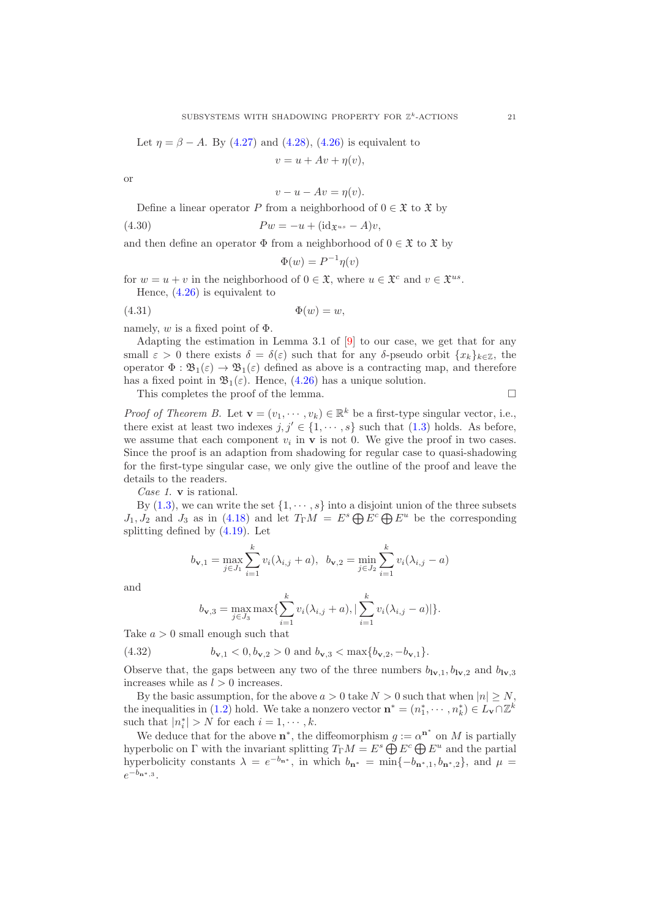Let 
$$
\eta = \beta - A
$$
. By (4.27) and (4.28), (4.26) is equivalent to

$$
v = u + Av + \eta(v),
$$

or

$$
v - u - Av = \eta(v).
$$

Define a linear operator P from a neighborhood of  $0 \in \mathfrak{X}$  to  $\mathfrak{X}$  by

(4.30) 
$$
Pw = -u + (\text{id}_{\mathfrak{X}^{us}} - A)v,
$$

and then define an operator  $\Phi$  from a neighborhood of  $0 \in \mathfrak{X}$  to  $\mathfrak{X}$  by

$$
\Phi(w) = P^{-1}\eta(v)
$$

for  $w = u + v$  in the neighborhood of  $0 \in \mathfrak{X}$ , where  $u \in \mathfrak{X}^c$  and  $v \in \mathfrak{X}^{us}$ . Hence, [\(4.26\)](#page-19-3) is equivalent to

$$
(4.31) \t\t\t \Phi(w) = w,
$$

namely,  $w$  is a fixed point of  $\Phi$ .

Adapting the estimation in Lemma 3.1 of  $[9]$  to our case, we get that for any small  $\varepsilon > 0$  there exists  $\delta = \delta(\varepsilon)$  such that for any δ-pseudo orbit  $\{x_k\}_{k \in \mathbb{Z}}$ , the operator  $\Phi : \mathfrak{B}_1(\varepsilon) \to \mathfrak{B}_1(\varepsilon)$  defined as above is a contracting map, and therefore has a fixed point in  $\mathfrak{B}_1(\varepsilon)$ . Hence, [\(4.26\)](#page-19-3) has a unique solution.

This completes the proof of the lemma.  $\Box$ 

*Proof of Theorem B.* Let  $\mathbf{v} = (v_1, \dots, v_k) \in \mathbb{R}^k$  be a first-type singular vector, i.e., there exist at least two indexes  $j, j' \in \{1, \dots, s\}$  such that  $(1.3)$  holds. As before, we assume that each component  $v_i$  in  $\bf{v}$  is not 0. We give the proof in two cases. Since the proof is an adaption from shadowing for regular case to quasi-shadowing for the first-type singular case, we only give the outline of the proof and leave the details to the readers.

Case 1. v is rational.

By [\(1.3\)](#page-2-1), we can write the set  $\{1, \dots, s\}$  into a disjoint union of the three subsets  $J_1, J_2$  and  $J_3$  as in [\(4.18\)](#page-17-1) and let  $T_{\Gamma}M = E^s \bigoplus E^c \bigoplus E^u$  be the corresponding splitting defined by [\(4.19\)](#page-17-2). Let

$$
b_{\mathbf{v},1} = \max_{j \in J_1} \sum_{i=1}^k v_i(\lambda_{i,j} + a), \ \ b_{\mathbf{v},2} = \min_{j \in J_2} \sum_{i=1}^k v_i(\lambda_{i,j} - a)
$$

and

<span id="page-20-0"></span>
$$
b_{\mathbf{v},3} = \max_{j \in J_3} \max \{ \sum_{i=1}^k v_i(\lambda_{i,j} + a), \, |\sum_{i=1}^k v_i(\lambda_{i,j} - a)| \}.
$$

Take  $a > 0$  small enough such that

(4.32)  $b_{\mathbf{v},1} < 0, b_{\mathbf{v},2} > 0$  and  $b_{\mathbf{v},3} < \max\{b_{\mathbf{v},2}, -b_{\mathbf{v},1}\}.$ 

Observe that, the gaps between any two of the three numbers  $b_{1v,1}, b_{1v,2}$  and  $b_{1v,3}$ increases while as  $l > 0$  increases.

By the basic assumption, for the above  $a > 0$  take  $N > 0$  such that when  $|n| \geq N$ , the inequalities in [\(1.2\)](#page-2-0) hold. We take a nonzero vector  $\mathbf{n}^* = (n_1^*, \dots, n_k^*) \in L_{\mathbf{v}} \cap \mathbb{Z}^k$ such that  $|n_i^*| > N$  for each  $i = 1, \dots, k$ .

We deduce that for the above  $\mathbf{n}^*$ , the diffeomorphism  $g := \alpha^{\mathbf{n}^*}$  on M is partially hyperbolic on Γ with the invariant splitting  $T_{\Gamma}M = E^s \bigoplus E^c \bigoplus E^u$  and the partial hyperbolicity constants  $\lambda = e^{-b_{\mathbf{n}^*}}$ , in which  $b_{\mathbf{n}^*} = \min\{-b_{\mathbf{n}^*,1}, b_{\mathbf{n}^*,2}\}$ , and  $\mu =$  $e^{-b_{\mathbf{n}^*,3}}.$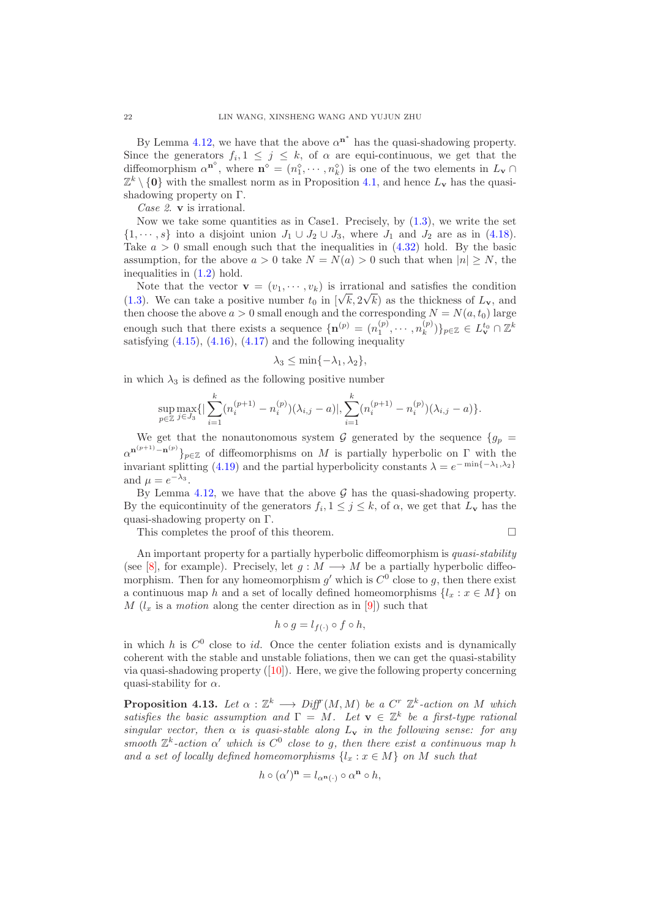By Lemma [4.12,](#page-18-0) we have that the above  $\alpha^{n^*}$  has the quasi-shadowing property. Since the generators  $f_i, 1 \leq j \leq k$ , of  $\alpha$  are equi-continuous, we get that the diffeomorphism  $\alpha^{n^{\circ}}$ , where  $n^{\circ} = (n_1^{\circ}, \cdots, n_k^{\circ})$  is one of the two elements in  $L_{\mathbf{v}} \cap$  $\mathbb{Z}^k \setminus \{0\}$  with the smallest norm as in Proposition [4.1,](#page-10-1) and hence  $L_{\mathbf{v}}$  has the quasishadowing property on Γ.

Case 2. **v** is irrational.

Now we take some quantities as in Case1. Precisely, by  $(1.3)$ , we write the set  $\{1, \dots, s\}$  into a disjoint union  $J_1 \cup J_2 \cup J_3$ , where  $J_1$  and  $J_2$  are as in [\(4.18\)](#page-17-1). Take  $a > 0$  small enough such that the inequalities in  $(4.32)$  hold. By the basic assumption, for the above  $a > 0$  take  $N = N(a) > 0$  such that when  $|n| \geq N$ , the inequalities in [\(1.2\)](#page-2-0) hold.

Note that the vector  $\mathbf{v} = (v_1, \dots, v_k)$  is irrational and satisfies the condition [\(1.3\)](#page-2-1). We can take a positive number  $t_0$  in  $[\sqrt{k}, 2\sqrt{k}]$  as the thickness of  $L_v$ , and then choose the above  $a > 0$  small enough and the corresponding  $N = N(a, t_0)$  large enough such that there exists a sequence  $\{n^{(p)} = (n_1^{(p)}, \dots, n_k^{(p)})\}$  $\{L_k^{(p)})\}_{p\in\mathbb{Z}}\in L_{\mathbf{v}}^{t_0}\cap\mathbb{Z}^k$ satisfying  $(4.15)$ ,  $(4.16)$ ,  $(4.17)$  and the following inequality

$$
\lambda_3 \le \min\{-\lambda_1, \lambda_2\},\
$$

in which  $\lambda_3$  is defined as the following positive number

$$
\sup_{p \in \mathbb{Z}} \max_{j \in J_3} \{ |\sum_{i=1}^k (n_i^{(p+1)} - n_i^{(p)})(\lambda_{i,j} - a)|, \sum_{i=1}^k (n_i^{(p+1)} - n_i^{(p)})(\lambda_{i,j} - a) \}.
$$

We get that the nonautonomous system G generated by the sequence  $\{g_p =$  $\alpha^{n^{(p+1)}-n^{(p)}}\}_{p\in\mathbb{Z}}$  of diffeomorphisms on M is partially hyperbolic on  $\Gamma$  with the invariant splitting [\(4.19\)](#page-17-2) and the partial hyperbolicity constants  $\lambda = e^{-\min\{-\lambda_1, \lambda_2\}}$ and  $\mu = e^{-\lambda_3}$ .

By Lemma [4.12,](#page-18-0) we have that the above  $\mathcal G$  has the quasi-shadowing property. By the equicontinuity of the generators  $f_i, 1 \leq j \leq k$ , of  $\alpha$ , we get that  $L_{\mathbf{v}}$  has the quasi-shadowing property on Γ.

This completes the proof of this theorem.

$$
\qquad \qquad \Box
$$

An important property for a partially hyperbolic diffeomorphism is quasi-stability (see [\[8\]](#page-23-19), for example). Precisely, let  $g : M \longrightarrow M$  be a partially hyperbolic diffeomorphism. Then for any homeomorphism  $g'$  which is  $C^0$  close to g, then there exist a continuous map h and a set of locally defined homeomorphisms  $\{l_x : x \in M\}$  on M  $(l_x$  is a motion along the center direction as in [\[9\]](#page-23-12)) such that

$$
h \circ g = l_{f(\cdot)} \circ f \circ h,
$$

in which h is  $C^0$  close to id. Once the center foliation exists and is dynamically coherent with the stable and unstable foliations, then we can get the quasi-stability via quasi-shadowing property([\[10\]](#page-23-20)). Here, we give the following property concerning quasi-stability for  $\alpha$ .

**Proposition 4.13.** Let  $\alpha : \mathbb{Z}^k \longrightarrow Diff^r(M, M)$  be a  $C^r \mathbb{Z}^k$ -action on M which satisfies the basic assumption and  $\Gamma = M$ . Let  $\mathbf{v} \in \mathbb{Z}^k$  be a first-type rational singular vector, then  $\alpha$  is quasi-stable along  $L_v$  in the following sense: for any smooth  $\mathbb{Z}^k$ -action  $\alpha'$  which is  $C^0$  close to g, then there exist a continuous map h and a set of locally defined homeomorphisms  $\{l_x : x \in M\}$  on M such that

$$
h \circ (\alpha')^{\mathbf{n}} = l_{\alpha^{\mathbf{n}}(\cdot)} \circ \alpha^{\mathbf{n}} \circ h,
$$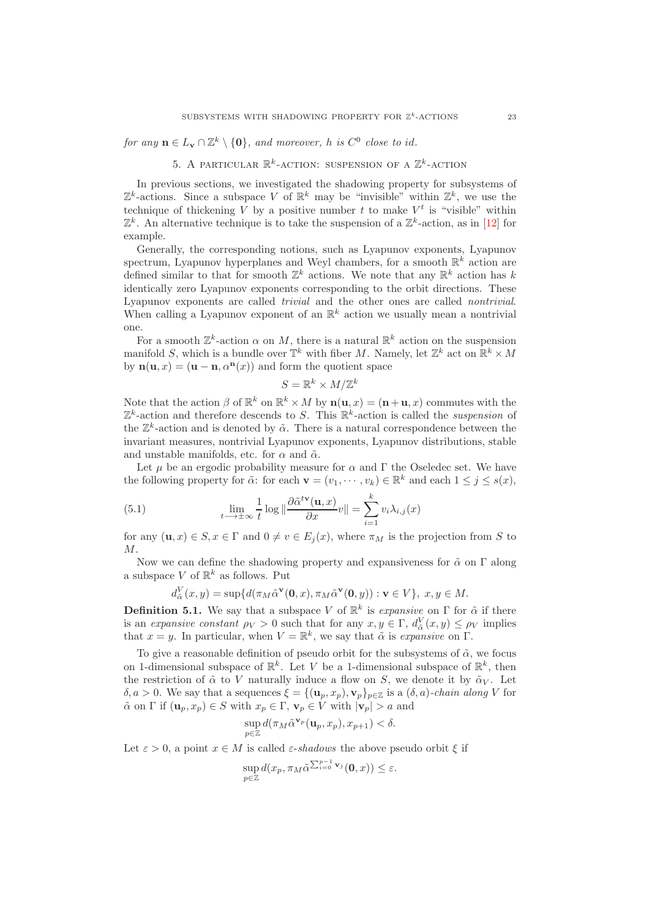for any  $\mathbf{n} \in L_{\mathbf{v}} \cap \mathbb{Z}^k \setminus \{\mathbf{0}\}$ , and moreover, h is  $C^0$  close to id.

5. A PARTICULAR  $\mathbb{R}^k$ -ACTION: SUSPENSION OF A  $\mathbb{Z}^k$ -ACTION

In previous sections, we investigated the shadowing property for subsystems of  $\mathbb{Z}^k$ -actions. Since a subspace V of  $\mathbb{R}^k$  may be "invisible" within  $\mathbb{Z}^k$ , we use the technique of thickening V by a positive number t to make  $V^t$  is "visible" within  $\mathbb{Z}^k$ . An alternative technique is to take the suspension of a  $\mathbb{Z}^k$ -action, as in [\[12\]](#page-23-14) for example.

Generally, the corresponding notions, such as Lyapunov exponents, Lyapunov spectrum, Lyapunov hyperplanes and Weyl chambers, for a smooth  $\mathbb{R}^k$  action are defined similar to that for smooth  $\mathbb{Z}^k$  actions. We note that any  $\mathbb{R}^k$  action has k identically zero Lyapunov exponents corresponding to the orbit directions. These Lyapunov exponents are called trivial and the other ones are called nontrivial. When calling a Lyapunov exponent of an  $\mathbb{R}^k$  action we usually mean a nontrivial one.

For a smooth  $\mathbb{Z}^k$ -action  $\alpha$  on M, there is a natural  $\mathbb{R}^k$  action on the suspension manifold S, which is a bundle over  $\mathbb{T}^k$  with fiber M. Namely, let  $\mathbb{Z}^k$  act on  $\mathbb{R}^k \times M$ by  $\mathbf{n}(\mathbf{u},x) = (\mathbf{u}-\mathbf{n},\alpha^{\mathbf{n}}(x))$  and form the quotient space

$$
S = \mathbb{R}^k \times M / \mathbb{Z}^k
$$

Note that the action  $\beta$  of  $\mathbb{R}^k$  on  $\mathbb{R}^k \times M$  by  $\mathbf{n}(\mathbf{u},x) = (\mathbf{n}+\mathbf{u},x)$  commutes with the  $\mathbb{Z}^k$ -action and therefore descends to S. This  $\mathbb{R}^k$ -action is called the *suspension* of the  $\mathbb{Z}^k$ -action and is denoted by  $\tilde{\alpha}$ . There is a natural correspondence between the invariant measures, nontrivial Lyapunov exponents, Lyapunov distributions, stable and unstable manifolds, etc. for  $\alpha$  and  $\tilde{\alpha}$ .

Let  $\mu$  be an ergodic probability measure for  $\alpha$  and  $\Gamma$  the Oseledec set. We have the following property for  $\tilde{\alpha}$ : for each  $\mathbf{v} = (v_1, \dots, v_k) \in \mathbb{R}^k$  and each  $1 \leq j \leq s(x)$ ,

(5.1) 
$$
\lim_{t \to \pm \infty} \frac{1}{t} \log \|\frac{\partial \tilde{\alpha}^{t\mathbf{v}}(\mathbf{u}, x)}{\partial x} v\| = \sum_{i=1}^{k} v_i \lambda_{i,j}(x)
$$

for any  $(\mathbf{u}, x) \in S, x \in \Gamma$  and  $0 \neq v \in E_i(x)$ , where  $\pi_M$  is the projection from S to  $M_{\cdot}$ 

Now we can define the shadowing property and expansiveness for  $\tilde{\alpha}$  on  $\Gamma$  along a subspace V of  $\mathbb{R}^k$  as follows. Put

$$
d_{\tilde{\alpha}}^V(x,y) = \sup \{ d(\pi_M \tilde{\alpha}^{\mathbf{v}}(\mathbf{0},x), \pi_M \tilde{\alpha}^{\mathbf{v}}(\mathbf{0},y)) : \mathbf{v} \in V \}, x, y \in M.
$$

**Definition 5.1.** We say that a subspace V of  $\mathbb{R}^k$  is expansive on  $\Gamma$  for  $\tilde{\alpha}$  if there is an expansive constant  $\rho_V > 0$  such that for any  $x, y \in \Gamma$ ,  $d_{\tilde{\alpha}}^V(x, y) \leq \rho_V$  implies that  $x = y$ . In particular, when  $V = \mathbb{R}^k$ , we say that  $\tilde{\alpha}$  is expansive on  $\Gamma$ .

To give a reasonable definition of pseudo orbit for the subsystems of  $\tilde{\alpha}$ , we focus on 1-dimensional subspace of  $\mathbb{R}^k$ . Let V be a 1-dimensional subspace of  $\mathbb{R}^k$ , then the restriction of  $\tilde{\alpha}$  to V naturally induce a flow on S, we denote it by  $\tilde{\alpha}_V$ . Let  $\delta, a > 0$ . We say that a sequences  $\xi = \{(\mathbf{u}_p, x_p), \mathbf{v}_p\}_{p \in \mathbb{Z}}$  is a  $(\delta, a)$ -chain along V for  $\tilde{\alpha}$  on  $\Gamma$  if  $(\mathbf{u}_p, x_p) \in S$  with  $x_p \in \Gamma$ ,  $\mathbf{v}_p \in V$  with  $|\mathbf{v}_p| > a$  and

$$
\sup_{p\in\mathbb{Z}}d(\pi_M\tilde{\alpha}^{\mathbf{v}_p}(\mathbf{u}_p,x_p),x_{p+1})<\delta.
$$

Let  $\varepsilon > 0$ , a point  $x \in M$  is called  $\varepsilon$ -shadows the above pseudo orbit  $\xi$  if

$$
\sup_{p\in\mathbb{Z}} d(x_p, \pi_M \tilde{\alpha}^{\sum_{i=0}^{p-1} \mathbf{v}_j}(\mathbf{0}, x)) \leq \varepsilon.
$$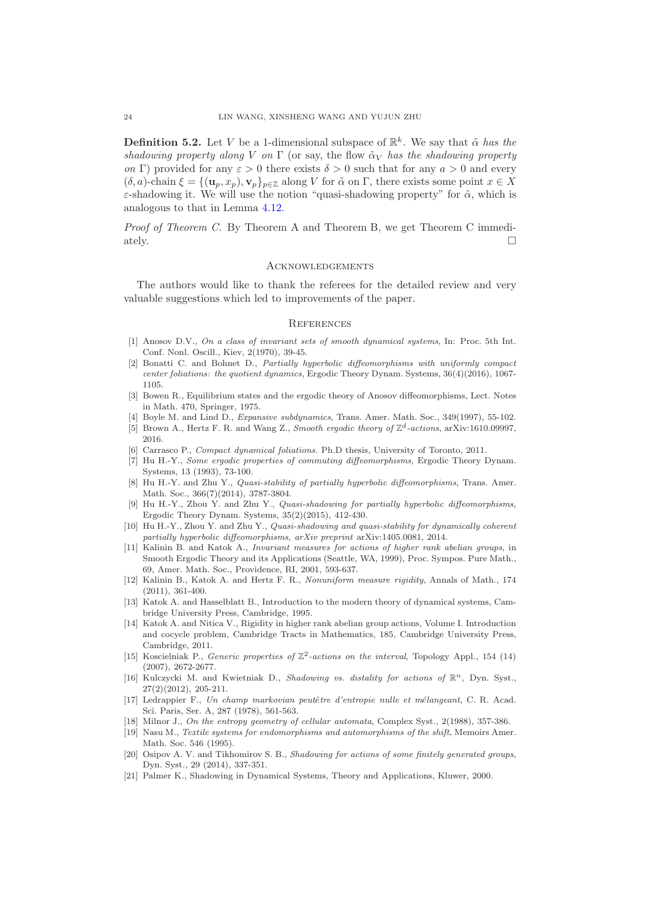**Definition 5.2.** Let V be a 1-dimensional subspace of  $\mathbb{R}^k$ . We say that  $\tilde{\alpha}$  has the shadowing property along V on  $\Gamma$  (or say, the flow  $\tilde{\alpha}_V$  has the shadowing property on Γ) provided for any  $\varepsilon > 0$  there exists  $\delta > 0$  such that for any  $a > 0$  and every  $(\delta, a)$ -chain  $\xi = \{(\mathbf{u}_p, x_p), \mathbf{v}_p\}_{p \in \mathbb{Z}}$  along V for  $\tilde{\alpha}$  on  $\Gamma$ , there exists some point  $x \in X$  $\varepsilon$ -shadowing it. We will use the notion "quasi-shadowing property" for  $\tilde{\alpha}$ , which is analogous to that in Lemma [4.12.](#page-18-0)

Proof of Theorem C. By Theorem A and Theorem B, we get Theorem C immediately.  $\square$ 

#### **ACKNOWLEDGEMENTS**

The authors would like to thank the referees for the detailed review and very valuable suggestions which led to improvements of the paper.

#### **REFERENCES**

- <span id="page-23-3"></span>[1] Anosov D.V., On a class of invariant sets of smooth dynamical systems, In: Proc. 5th Int. Conf. Nonl. Oscill., Kiev, 2(1970), 39-45.
- <span id="page-23-18"></span>[2] Bonatti C. and Bohnet D., Partially hyperbolic diffeomorphisms with uniformly compact center foliations: the quotient dynamics, Ergodic Theory Dynam. Systems, 36(4)(2016), 1067- 1105.
- <span id="page-23-4"></span>[3] Bowen R., Equilibrium states and the ergodic theory of Anosov diffeomorphisms, Lect. Notes in Math. 470, Springer, 1975.
- <span id="page-23-11"></span><span id="page-23-0"></span>[4] Boyle M. and Lind D., *Expansive subdynamics*, Trans. Amer. Math. Soc., 349(1997), 55-102.
- [5] Brown A., Hertz F. R. and Wang Z., Smooth ergodic theory of  $\mathbb{Z}^d$ -actions, arXiv:1610.09997, 2016.
- <span id="page-23-17"></span><span id="page-23-9"></span>[6] Carrasco P., Compact dynamical foliations. Ph.D thesis, University of Toronto, 2011.
- [7] Hu H.-Y., Some ergodic properties of commuting diffeomorphisms, Ergodic Theory Dynam. Systems, 13 (1993), 73-100.
- <span id="page-23-19"></span>[8] Hu H.-Y. and Zhu Y., *Quasi-stability of partially hyperbolic diffeomorphisms*, Trans. Amer. Math. Soc., 366(7)(2014), 3787-3804.
- <span id="page-23-12"></span>[9] Hu H.-Y., Zhou Y. and Zhu Y., Quasi-shadowing for partially hyperbolic diffeomorphisms, Ergodic Theory Dynam. Systems, 35(2)(2015), 412-430.
- <span id="page-23-20"></span>[10] Hu H.-Y., Zhou Y. and Zhu Y., Quasi-shadowing and quasi-stability for dynamically coherent partially hyperbolic diffeomorphisms, arXiv preprint arXiv:1405.0081, 2014.
- <span id="page-23-10"></span>[11] Kalinin B. and Katok A., Invariant measures for actions of higher rank abelian groups, in Smooth Ergodic Theory and its Applications (Seattle, WA, 1999), Proc. Sympos. Pure Math., 69, Amer. Math. Soc., Providence, RI, 2001, 593-637.
- <span id="page-23-14"></span>[12] Kalinin B., Katok A. and Hertz F. R., Nonuniform measure rigidity, Annals of Math., 174 (2011), 361-400.
- <span id="page-23-15"></span>[13] Katok A. and Hasselblatt B., Introduction to the modern theory of dynamical systems, Cambridge University Press, Cambridge, 1995.
- <span id="page-23-16"></span>[14] Katok A. and Nitica V., Rigidity in higher rank abelian group actions, Volume I. Introduction and cocycle problem, Cambridge Tracts in Mathematics, 185, Cambridge University Press, Cambridge, 2011.
- <span id="page-23-6"></span>[15] Koscielniak P., Generic properties of  $\mathbb{Z}^2$ -actions on the interval, Topology Appl., 154 (14) (2007), 2672-2677.
- <span id="page-23-7"></span>[16] Kulczycki M. and Kwietniak D., Shadowing vs. distality for actions of  $\mathbb{R}^n$ , Dyn. Syst., 27(2)(2012), 205-211.
- <span id="page-23-13"></span>[17] Ledrappier F., Un champ markovian peutêtre d'entropie nulle et mélangeant, C. R. Acad. Sci. Paris, Ser. A, 287 (1978), 561-563.
- <span id="page-23-2"></span><span id="page-23-1"></span>[18] Milnor J., On the entropy geometry of cellular automata, Complex Syst., 2(1988), 357-386.
- [19] Nasu M., Textile systems for endomorphisms and automorphisms of the shift, Memoirs Amer. Math. Soc. 546 (1995).
- <span id="page-23-8"></span>[20] Osipov A. V. and Tikhomirov S. B., Shadowing for actions of some finitely generated groups, Dyn. Syst., 29 (2014), 337-351.
- <span id="page-23-5"></span>[21] Palmer K., Shadowing in Dynamical Systems, Theory and Applications, Kluwer, 2000.